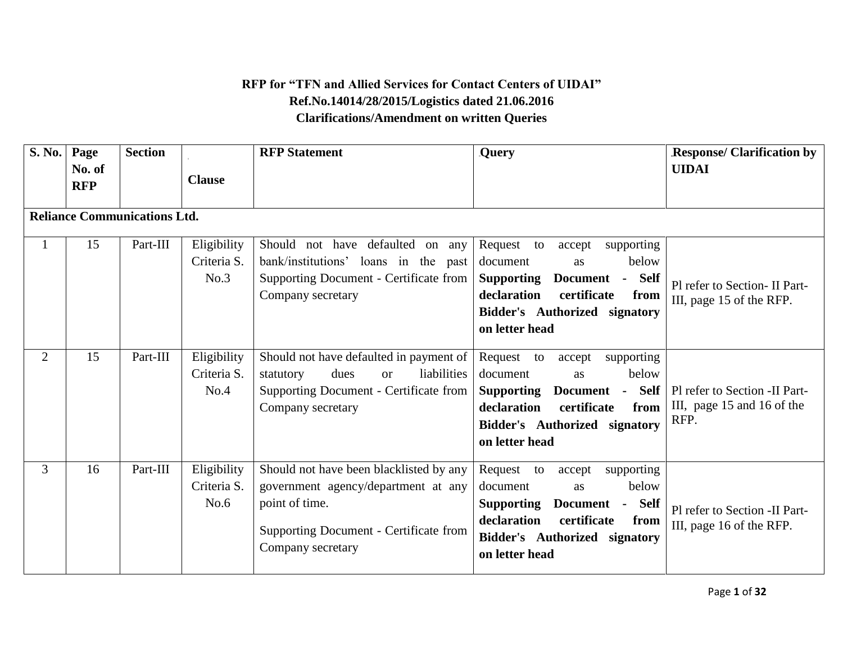## **RFP for "TFN and Allied Services for Contact Centers of UIDAI" Ref.No.14014/28/2015/Logistics dated 21.06.2016 Clarifications/Amendment on written Queries**

| S. No.         | Page<br>No. of<br><b>RFP</b>        | <b>Section</b> | <b>Clause</b>                      | <b>RFP</b> Statement                                                                                                                                            | <b>Query</b>                                                                                                                                                                                             | <b>Response/ Clarification by</b><br><b>UIDAI</b>                   |
|----------------|-------------------------------------|----------------|------------------------------------|-----------------------------------------------------------------------------------------------------------------------------------------------------------------|----------------------------------------------------------------------------------------------------------------------------------------------------------------------------------------------------------|---------------------------------------------------------------------|
|                | <b>Reliance Communications Ltd.</b> |                |                                    |                                                                                                                                                                 |                                                                                                                                                                                                          |                                                                     |
|                | 15                                  | Part-III       | Eligibility<br>Criteria S.<br>No.3 | Should not have defaulted on any<br>bank/institutions' loans in the past<br><b>Supporting Document - Certificate from</b><br>Company secretary                  | Request<br>to<br>supporting<br>accept<br>below<br>document<br><b>as</b><br>Document - Self<br><b>Supporting</b><br>declaration<br>certificate<br>from<br>Bidder's Authorized signatory<br>on letter head | Pl refer to Section- II Part-<br>III, page 15 of the RFP.           |
| $\overline{2}$ | 15                                  | Part-III       | Eligibility<br>Criteria S.<br>No.4 | Should not have defaulted in payment of<br>liabilities<br>dues<br>statutory<br><sub>or</sub><br>Supporting Document - Certificate from<br>Company secretary     | Request to<br>supporting<br>accept<br>below<br>document<br><b>as</b><br>Document - Self<br><b>Supporting</b><br>declaration<br>certificate<br>from<br>Bidder's Authorized signatory<br>on letter head    | Pl refer to Section -II Part-<br>III, page 15 and 16 of the<br>RFP. |
| 3              | 16                                  | Part-III       | Eligibility<br>Criteria S.<br>No.6 | Should not have been blacklisted by any<br>government agency/department at any<br>point of time.<br>Supporting Document - Certificate from<br>Company secretary | Request to<br>accept<br>supporting<br>below<br>document<br>as<br><b>Supporting</b><br>Document - Self<br>declaration<br>certificate<br>from<br>Bidder's Authorized signatory<br>on letter head           | Pl refer to Section -II Part-<br>III, page 16 of the RFP.           |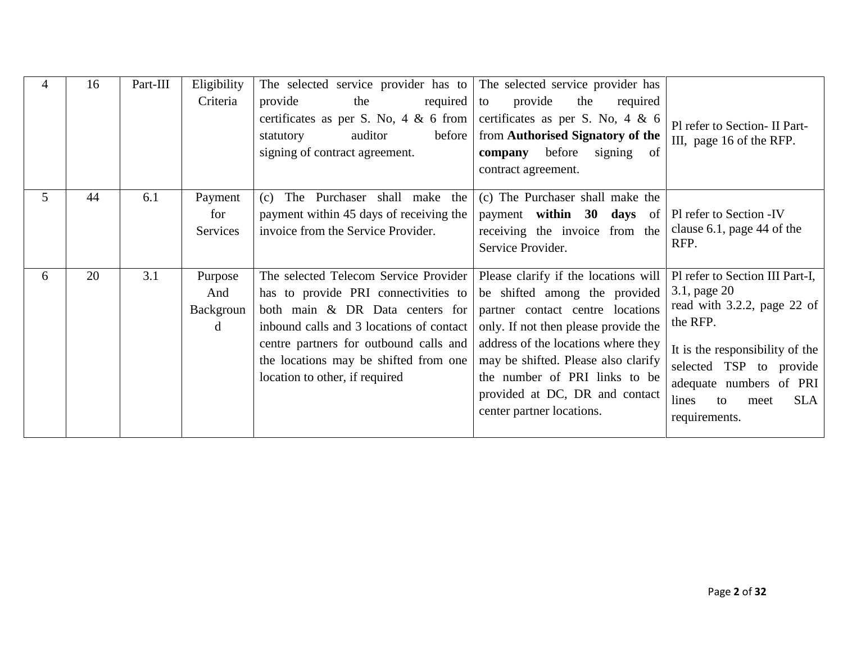|   | 16 | Part-III | Eligibility<br>Criteria          | The selected service provider has to The selected service provider has<br>provide<br>the<br>required $\vert$ to<br>certificates as per S. No, 4 & 6 from<br>auditor<br>before<br>statutory<br>signing of contract agreement.                                                      | provide<br>the<br>required<br>certificates as per S. No, $4 \& 6$<br>from Authorised Signatory of the<br>before<br>company<br>signing of<br>contract agreement.                                                                                                                                                                 | Pl refer to Section- II Part-<br>III, page 16 of the RFP.                                                                                                                                                                                 |
|---|----|----------|----------------------------------|-----------------------------------------------------------------------------------------------------------------------------------------------------------------------------------------------------------------------------------------------------------------------------------|---------------------------------------------------------------------------------------------------------------------------------------------------------------------------------------------------------------------------------------------------------------------------------------------------------------------------------|-------------------------------------------------------------------------------------------------------------------------------------------------------------------------------------------------------------------------------------------|
| 5 | 44 | 6.1      | Payment<br>for<br>Services       | (c) The Purchaser shall make the<br>payment within 45 days of receiving the<br>invoice from the Service Provider.                                                                                                                                                                 | (c) The Purchaser shall make the<br>payment within $30$ days of<br>receiving the invoice from the<br>Service Provider.                                                                                                                                                                                                          | Pl refer to Section -IV<br>clause $6.1$ , page 44 of the<br>RFP.                                                                                                                                                                          |
| 6 | 20 | 3.1      | Purpose<br>And<br>Backgroun<br>d | The selected Telecom Service Provider<br>has to provide PRI connectivities to<br>both main & DR Data centers for<br>inbound calls and 3 locations of contact<br>centre partners for outbound calls and<br>the locations may be shifted from one<br>location to other, if required | Please clarify if the locations will<br>be shifted among the provided<br>partner contact centre locations<br>only. If not then please provide the<br>address of the locations where they<br>may be shifted. Please also clarify<br>the number of PRI links to be<br>provided at DC, DR and contact<br>center partner locations. | Pl refer to Section III Part-I,<br>3.1, page 20<br>read with 3.2.2, page 22 of<br>the RFP.<br>It is the responsibility of the<br>selected TSP to provide<br>adequate numbers of PRI<br>lines<br><b>SLA</b><br>to<br>meet<br>requirements. |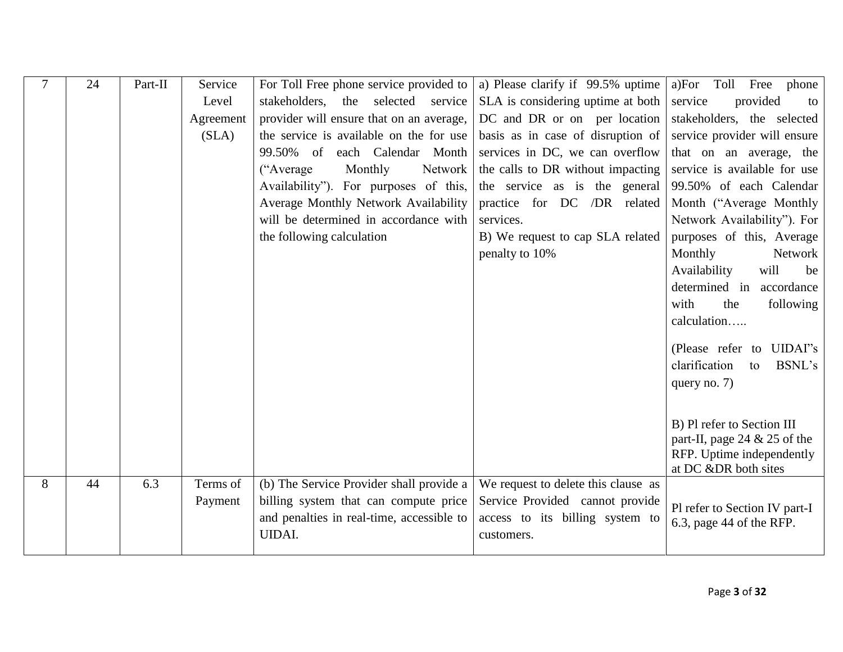|   | 24 | Part-II | Service   | For Toll Free phone service provided to   | a) Please clarify if 99.5% uptime   | a)For Toll<br>Free<br>phone                                 |
|---|----|---------|-----------|-------------------------------------------|-------------------------------------|-------------------------------------------------------------|
|   |    |         | Level     | stakeholders,<br>the<br>selected service  | SLA is considering uptime at both   | service<br>provided<br>to                                   |
|   |    |         | Agreement | provider will ensure that on an average,  | DC and DR or on per location        | stakeholders, the selected                                  |
|   |    |         | (SLA)     | the service is available on the for use   | basis as in case of disruption of   | service provider will ensure                                |
|   |    |         |           | 99.50% of each Calendar Month             | services in DC, we can overflow     | that on an average, the                                     |
|   |    |         |           | ("Average"<br>Monthly<br>Network          | the calls to DR without impacting   | service is available for use                                |
|   |    |         |           | Availability"). For purposes of this,     | the service as is the general       | 99.50% of each Calendar                                     |
|   |    |         |           | Average Monthly Network Availability      | practice for DC /DR related         | Month ("Average Monthly"                                    |
|   |    |         |           | will be determined in accordance with     | services.                           | Network Availability"). For                                 |
|   |    |         |           | the following calculation                 | B) We request to cap SLA related    | purposes of this, Average                                   |
|   |    |         |           |                                           | penalty to 10%                      | Monthly<br>Network                                          |
|   |    |         |           |                                           |                                     | Availability<br>will<br>be                                  |
|   |    |         |           |                                           |                                     | determined in<br>accordance                                 |
|   |    |         |           |                                           |                                     | with<br>the<br>following                                    |
|   |    |         |           |                                           |                                     | calculation                                                 |
|   |    |         |           |                                           |                                     | (Please refer to UIDAI"s                                    |
|   |    |         |           |                                           |                                     | clarification<br>BSNL's<br>to                               |
|   |    |         |           |                                           |                                     | query no. $7)$                                              |
|   |    |         |           |                                           |                                     |                                                             |
|   |    |         |           |                                           |                                     |                                                             |
|   |    |         |           |                                           |                                     | B) Pl refer to Section III                                  |
|   |    |         |           |                                           |                                     | part-II, page 24 $& 25$ of the<br>RFP. Uptime independently |
|   |    |         |           |                                           |                                     | at DC &DR both sites                                        |
| 8 | 44 | 6.3     | Terms of  | (b) The Service Provider shall provide a  | We request to delete this clause as |                                                             |
|   |    |         | Payment   | billing system that can compute price     | Service Provided cannot provide     |                                                             |
|   |    |         |           | and penalties in real-time, accessible to | access to its billing system to     | Pl refer to Section IV part-I<br>6.3, page 44 of the RFP.   |
|   |    |         |           | <b>UIDAI.</b>                             | customers.                          |                                                             |
|   |    |         |           |                                           |                                     |                                                             |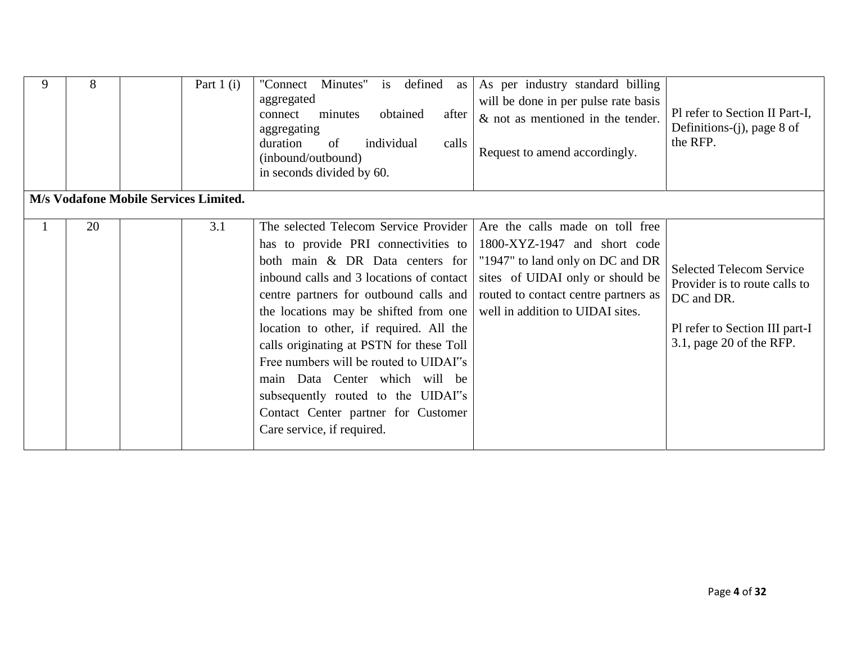| 9 | 8  | Part 1 $(i)$                          | Minutes" is defined<br>"Connect"<br>as<br>aggregated<br>minutes<br>obtained<br>connect<br>after<br>aggregating<br>individual<br>duration<br>of<br>calls<br>(inbound/outbound)<br>in seconds divided by 60.                                                                                                                                                                                                                                                                                                                    | As per industry standard billing<br>will be done in per pulse rate basis<br>$&$ not as mentioned in the tender.<br>Request to amend accordingly.                                                                    | Pl refer to Section II Part-I,<br>Definitions-(j), page 8 of<br>the RFP.                                                                     |
|---|----|---------------------------------------|-------------------------------------------------------------------------------------------------------------------------------------------------------------------------------------------------------------------------------------------------------------------------------------------------------------------------------------------------------------------------------------------------------------------------------------------------------------------------------------------------------------------------------|---------------------------------------------------------------------------------------------------------------------------------------------------------------------------------------------------------------------|----------------------------------------------------------------------------------------------------------------------------------------------|
|   |    | M/s Vodafone Mobile Services Limited. |                                                                                                                                                                                                                                                                                                                                                                                                                                                                                                                               |                                                                                                                                                                                                                     |                                                                                                                                              |
|   | 20 | 3.1                                   | The selected Telecom Service Provider<br>has to provide PRI connectivities to<br>both main & DR Data centers for<br>inbound calls and 3 locations of contact<br>centre partners for outbound calls and<br>the locations may be shifted from one<br>location to other, if required. All the<br>calls originating at PSTN for these Toll<br>Free numbers will be routed to UIDAI"s<br>main Data Center which will be<br>subsequently routed to the UIDAI"s<br>Contact Center partner for Customer<br>Care service, if required. | Are the calls made on toll free<br>1800-XYZ-1947 and short code<br>"1947" to land only on DC and DR<br>sites of UIDAI only or should be<br>routed to contact centre partners as<br>well in addition to UIDAI sites. | <b>Selected Telecom Service</b><br>Provider is to route calls to<br>DC and DR.<br>Pl refer to Section III part-I<br>3.1, page 20 of the RFP. |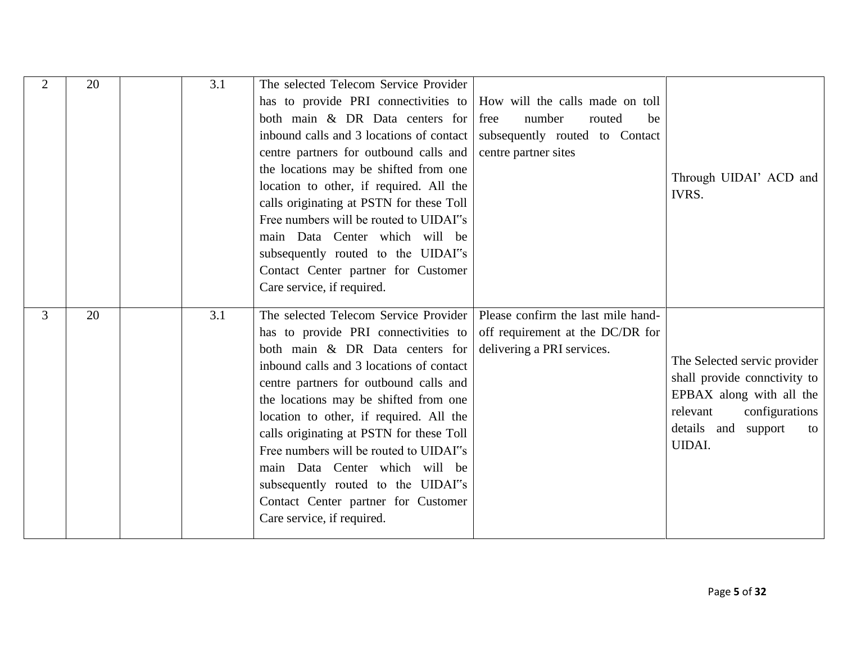| $\overline{2}$ | 20 | 3.1 | The selected Telecom Service Provider                                |                                    |                              |
|----------------|----|-----|----------------------------------------------------------------------|------------------------------------|------------------------------|
|                |    |     | has to provide PRI connectivities to How will the calls made on toll |                                    |                              |
|                |    |     | both main & DR Data centers for                                      | free<br>number<br>routed<br>be     |                              |
|                |    |     | inbound calls and 3 locations of contact                             | subsequently routed to Contact     |                              |
|                |    |     | centre partners for outbound calls and                               | centre partner sites               |                              |
|                |    |     | the locations may be shifted from one                                |                                    | Through UIDAI' ACD and       |
|                |    |     | location to other, if required. All the                              |                                    | IVRS.                        |
|                |    |     | calls originating at PSTN for these Toll                             |                                    |                              |
|                |    |     | Free numbers will be routed to UIDAI"s                               |                                    |                              |
|                |    |     | main Data Center which will be                                       |                                    |                              |
|                |    |     | subsequently routed to the UIDAI"s                                   |                                    |                              |
|                |    |     | Contact Center partner for Customer                                  |                                    |                              |
|                |    |     | Care service, if required.                                           |                                    |                              |
|                |    |     |                                                                      |                                    |                              |
|                |    |     |                                                                      |                                    |                              |
| $\overline{3}$ | 20 | 3.1 | The selected Telecom Service Provider                                | Please confirm the last mile hand- |                              |
|                |    |     | has to provide PRI connectivities to                                 | off requirement at the DC/DR for   |                              |
|                |    |     | both main & DR Data centers for                                      | delivering a PRI services.         | The Selected servic provider |
|                |    |     | inbound calls and 3 locations of contact                             |                                    | shall provide connetivity to |
|                |    |     | centre partners for outbound calls and                               |                                    | EPBAX along with all the     |
|                |    |     | the locations may be shifted from one                                |                                    | relevant<br>configurations   |
|                |    |     | location to other, if required. All the                              |                                    | details and support<br>to    |
|                |    |     | calls originating at PSTN for these Toll                             |                                    | <b>UIDAI.</b>                |
|                |    |     | Free numbers will be routed to UIDAI"s                               |                                    |                              |
|                |    |     | main Data Center which will be                                       |                                    |                              |
|                |    |     | subsequently routed to the UIDAI"s                                   |                                    |                              |
|                |    |     | Contact Center partner for Customer<br>Care service, if required.    |                                    |                              |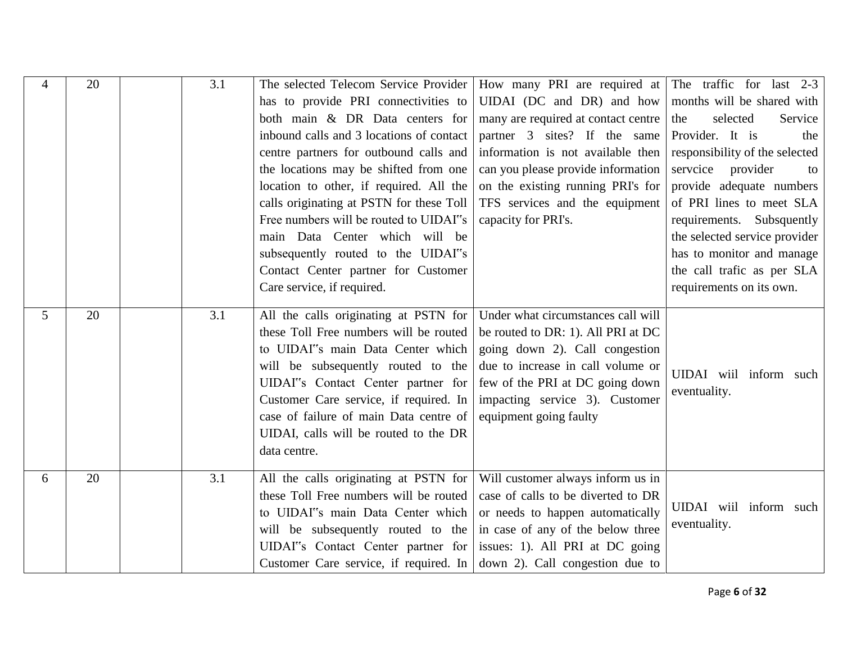| 4              | 20 | 3.1 | The selected Telecom Service Provider<br>has to provide PRI connectivities to<br>both main & DR Data centers for<br>inbound calls and 3 locations of contact<br>centre partners for outbound calls and<br>the locations may be shifted from one<br>location to other, if required. All the<br>calls originating at PSTN for these Toll<br>Free numbers will be routed to UIDAI"s<br>main Data Center which will be<br>subsequently routed to the UIDAI"s<br>Contact Center partner for Customer<br>Care service, if required. | How many PRI are required at The traffic for last $2-3$<br>UIDAI (DC and DR) and how<br>many are required at contact centre<br>partner 3 sites? If the same<br>information is not available then<br>can you please provide information<br>on the existing running PRI's for<br>TFS services and the equipment<br>capacity for PRI's. | months will be shared with<br>selected<br>Service<br>the<br>Provider. It is<br>the<br>responsibility of the selected<br>servcice<br>provider<br>to<br>provide adequate numbers<br>of PRI lines to meet SLA<br>requirements. Subsquently<br>the selected service provider<br>has to monitor and manage<br>the call trafic as per SLA<br>requirements on its own. |
|----------------|----|-----|-------------------------------------------------------------------------------------------------------------------------------------------------------------------------------------------------------------------------------------------------------------------------------------------------------------------------------------------------------------------------------------------------------------------------------------------------------------------------------------------------------------------------------|--------------------------------------------------------------------------------------------------------------------------------------------------------------------------------------------------------------------------------------------------------------------------------------------------------------------------------------|-----------------------------------------------------------------------------------------------------------------------------------------------------------------------------------------------------------------------------------------------------------------------------------------------------------------------------------------------------------------|
| 5 <sup>5</sup> | 20 | 3.1 | All the calls originating at PSTN for<br>these Toll Free numbers will be routed<br>to UIDAI"s main Data Center which<br>will be subsequently routed to the<br>UIDAI"s Contact Center partner for<br>Customer Care service, if required. In<br>case of failure of main Data centre of<br>UIDAI, calls will be routed to the DR<br>data centre.                                                                                                                                                                                 | Under what circumstances call will<br>be routed to DR: 1). All PRI at DC<br>going down 2). Call congestion<br>due to increase in call volume or<br>few of the PRI at DC going down<br>impacting service 3). Customer<br>equipment going faulty                                                                                       | UIDAI wiil inform such<br>eventuality.                                                                                                                                                                                                                                                                                                                          |
| 6              | 20 | 3.1 | All the calls originating at PSTN for<br>these Toll Free numbers will be routed<br>to UIDAI"s main Data Center which<br>will be subsequently routed to the<br>UIDAI"s Contact Center partner for<br>Customer Care service, if required. In                                                                                                                                                                                                                                                                                    | Will customer always inform us in<br>case of calls to be diverted to DR<br>or needs to happen automatically<br>in case of any of the below three<br>issues: 1). All PRI at DC going<br>down 2). Call congestion due to                                                                                                               | UIDAI wiil inform such<br>eventuality.                                                                                                                                                                                                                                                                                                                          |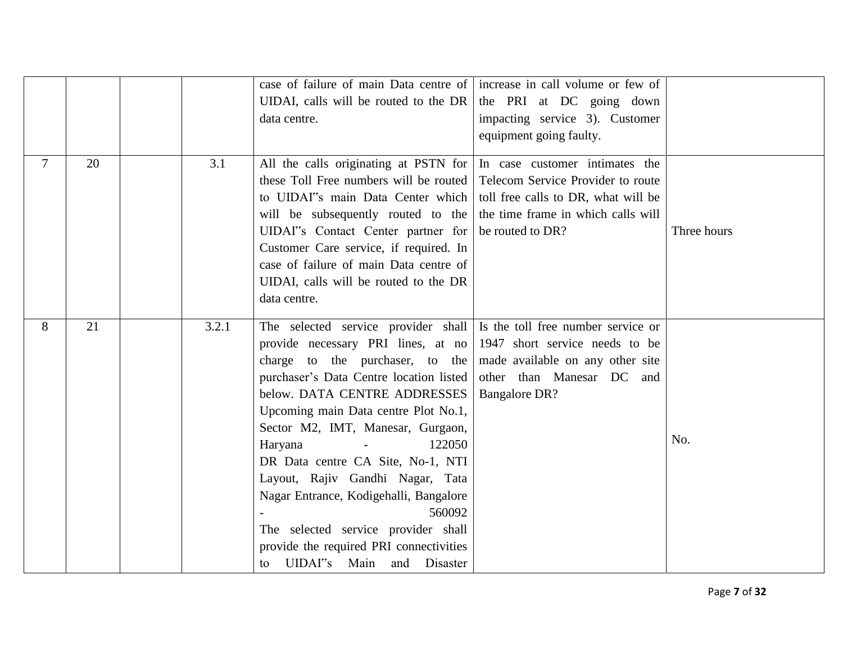|                |    |       | case of failure of main Data centre of increase in call volume or few of<br>UIDAI, calls will be routed to the DR<br>data centre.                                                                                                                                                                                                                                                                                                                                                                                                           | the PRI at DC going down<br>impacting service 3). Customer<br>equipment going faulty.                                                                                |             |
|----------------|----|-------|---------------------------------------------------------------------------------------------------------------------------------------------------------------------------------------------------------------------------------------------------------------------------------------------------------------------------------------------------------------------------------------------------------------------------------------------------------------------------------------------------------------------------------------------|----------------------------------------------------------------------------------------------------------------------------------------------------------------------|-------------|
| $\overline{7}$ | 20 | 3.1   | All the calls originating at PSTN for<br>these Toll Free numbers will be routed<br>to UIDAI"s main Data Center which<br>will be subsequently routed to the<br>UIDAI"s Contact Center partner for<br>Customer Care service, if required. In<br>case of failure of main Data centre of<br>UIDAI, calls will be routed to the DR<br>data centre.                                                                                                                                                                                               | In case customer intimates the<br>Telecom Service Provider to route<br>toll free calls to DR, what will be<br>the time frame in which calls will<br>be routed to DR? | Three hours |
| 8              | 21 | 3.2.1 | The selected service provider shall<br>provide necessary PRI lines, at no<br>charge to the purchaser, to the<br>purchaser's Data Centre location listed<br>below. DATA CENTRE ADDRESSES<br>Upcoming main Data centre Plot No.1,<br>Sector M2, IMT, Manesar, Gurgaon,<br>Haryana<br>122050<br>DR Data centre CA Site, No-1, NTI<br>Layout, Rajiv Gandhi Nagar, Tata<br>Nagar Entrance, Kodigehalli, Bangalore<br>560092<br>The selected service provider shall<br>provide the required PRI connectivities<br>UIDAI"s Main and Disaster<br>to | Is the toll free number service or<br>1947 short service needs to be<br>made available on any other site<br>other than Manesar DC and<br><b>Bangalore DR?</b>        | No.         |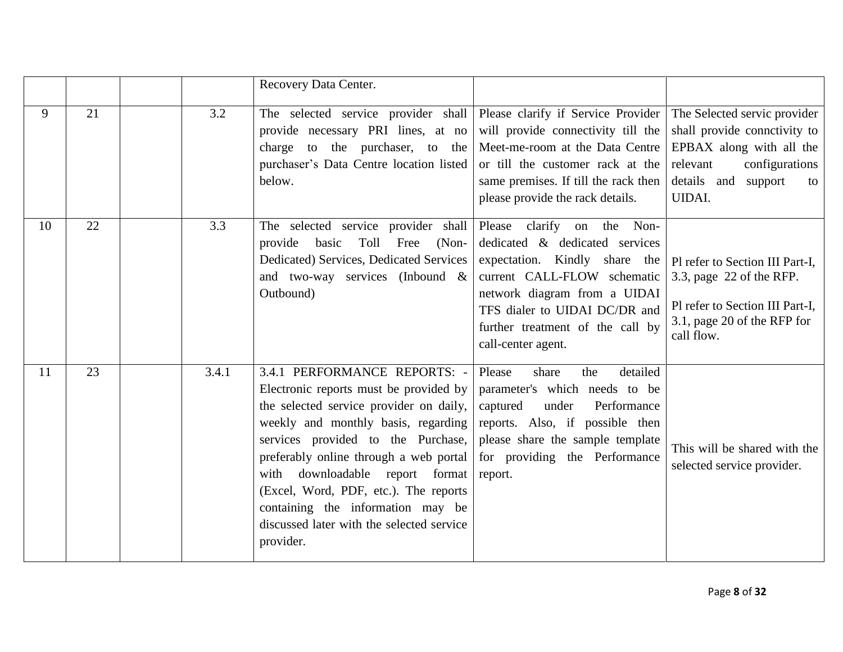|    |    |       | Recovery Data Center.                                                                                                                                                                                                                                                                                                                                                                                                  |                                                                                                                                                                                                                                                         |                                                                                                                                                                      |
|----|----|-------|------------------------------------------------------------------------------------------------------------------------------------------------------------------------------------------------------------------------------------------------------------------------------------------------------------------------------------------------------------------------------------------------------------------------|---------------------------------------------------------------------------------------------------------------------------------------------------------------------------------------------------------------------------------------------------------|----------------------------------------------------------------------------------------------------------------------------------------------------------------------|
| 9  | 21 | 3.2   | The selected service provider shall<br>provide necessary PRI lines, at no<br>charge to the purchaser, to the<br>purchaser's Data Centre location listed<br>below.                                                                                                                                                                                                                                                      | Please clarify if Service Provider<br>will provide connectivity till the<br>Meet-me-room at the Data Centre<br>or till the customer rack at the<br>same premises. If till the rack then<br>please provide the rack details.                             | The Selected servic provider<br>shall provide connctivity to<br>EPBAX along with all the<br>relevant<br>configurations<br>details and support<br>to<br><b>UIDAI.</b> |
| 10 | 22 | 3.3   | The selected service provider shall<br>Toll Free<br>provide<br>basic<br>$(Non-$<br>Dedicated) Services, Dedicated Services<br>and two-way services (Inbound $\&$<br>Outbound)                                                                                                                                                                                                                                          | Please clarify on the Non-<br>dedicated & dedicated services<br>expectation. Kindly share the<br>current CALL-FLOW schematic<br>network diagram from a UIDAI<br>TFS dialer to UIDAI DC/DR and<br>further treatment of the call by<br>call-center agent. | Pl refer to Section III Part-I,<br>3.3, page 22 of the RFP.<br>Pl refer to Section III Part-I,<br>3.1, page 20 of the RFP for<br>call flow.                          |
| 11 | 23 | 3.4.1 | 3.4.1 PERFORMANCE REPORTS: -<br>Electronic reports must be provided by<br>the selected service provider on daily,<br>weekly and monthly basis, regarding<br>services provided to the Purchase,<br>preferably online through a web portal<br>downloadable report format<br>with<br>(Excel, Word, PDF, etc.). The reports<br>containing the information may be<br>discussed later with the selected service<br>provider. | detailed<br>Please<br>share<br>the<br>parameter's which needs to be<br>captured<br>Performance<br>under<br>reports. Also, if possible then<br>please share the sample template<br>for providing the Performance<br>report.                              | This will be shared with the<br>selected service provider.                                                                                                           |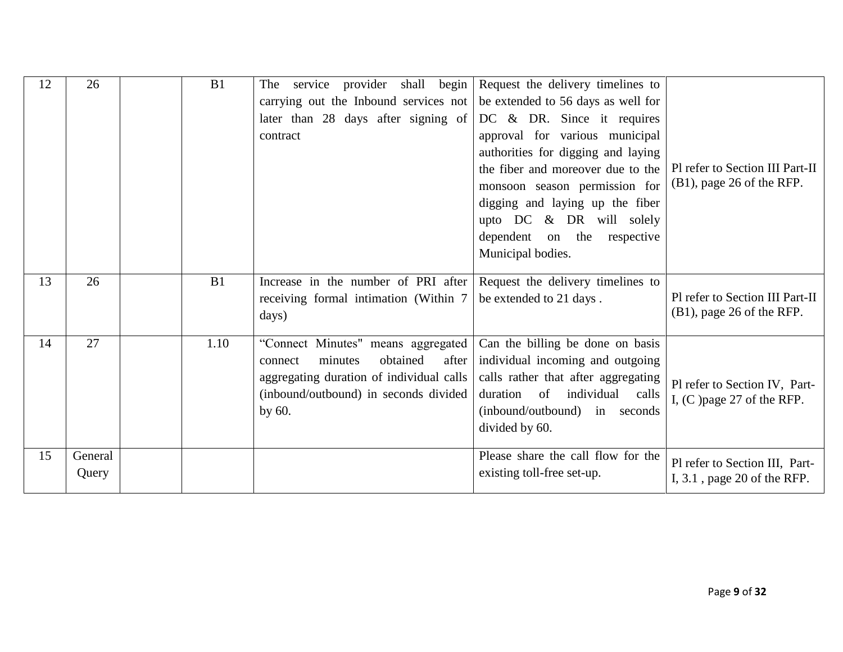| 12 | 26               | B1   | The service provider shall begin<br>carrying out the Inbound services not                                                                                                       | Request the delivery timelines to<br>be extended to 56 days as well for                                                                                                                                                                                                                           |                                                                  |
|----|------------------|------|---------------------------------------------------------------------------------------------------------------------------------------------------------------------------------|---------------------------------------------------------------------------------------------------------------------------------------------------------------------------------------------------------------------------------------------------------------------------------------------------|------------------------------------------------------------------|
|    |                  |      | later than 28 days after signing of<br>contract                                                                                                                                 | $DC \& DR.$ Since it requires<br>approval for various municipal<br>authorities for digging and laying<br>the fiber and moreover due to the<br>monsoon season permission for<br>digging and laying up the fiber<br>upto $DC \& DR$ will solely<br>dependent on the respective<br>Municipal bodies. | Pl refer to Section III Part-II<br>(B1), page 26 of the RFP.     |
| 13 | 26               | B1   | Increase in the number of PRI after<br>receiving formal intimation (Within 7<br>days)                                                                                           | Request the delivery timelines to<br>be extended to 21 days.                                                                                                                                                                                                                                      | Pl refer to Section III Part-II<br>$(B1)$ , page 26 of the RFP.  |
| 14 | 27               | 1.10 | "Connect Minutes" means aggregated<br>obtained<br>after<br>minutes<br>connect<br>aggregating duration of individual calls<br>(inbound/outbound) in seconds divided<br>by $60$ . | Can the billing be done on basis<br>individual incoming and outgoing<br>calls rather that after aggregating<br>duration of individual calls<br>(inbound/outbound) in seconds<br>divided by 60.                                                                                                    | Pl refer to Section IV, Part-<br>I, $(C)$ page 27 of the RFP.    |
| 15 | General<br>Query |      |                                                                                                                                                                                 | Please share the call flow for the<br>existing toll-free set-up.                                                                                                                                                                                                                                  | Pl refer to Section III, Part-<br>I, $3.1$ , page 20 of the RFP. |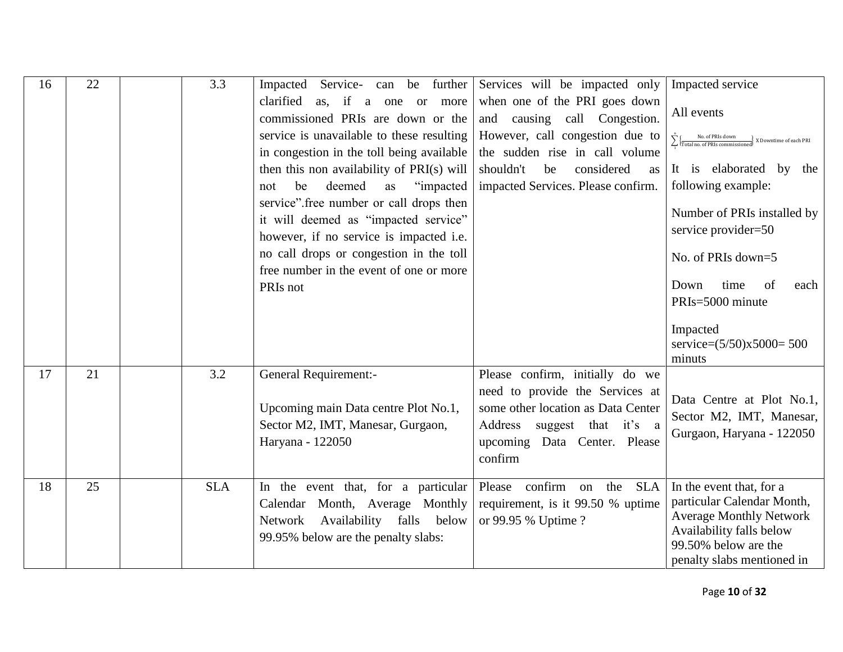| 16 | 22 | 3.3        | Impacted Service-<br>can be further<br>clarified<br>as, if a one or more<br>commissioned PRIs are down or the<br>service is unavailable to these resulting<br>in congestion in the toll being available<br>then this non availability of PRI(s) will<br>"impacted"<br>deemed<br>be<br>as<br>not<br>service" free number or call drops then<br>it will deemed as "impacted service"<br>however, if no service is impacted i.e.<br>no call drops or congestion in the toll<br>free number in the event of one or more<br>PRIs not | Services will be impacted only<br>when one of the PRI goes down<br>and causing call Congestion.<br>However, call congestion due to<br>the sudden rise in call volume<br>shouldn't<br>considered<br>be<br>as<br>impacted Services. Please confirm. | Impacted service<br>All events<br>$\sum_{i=1}^{n} \Bigl\{ \frac{\text{No. of PRIs down}}{\text{Total no. of PRIs commissioneed}} \Bigr\}$<br>$-\frac{1}{3}$ X Downtime of each PRI<br>It is elaborated by the<br>following example:<br>Number of PRIs installed by<br>service provider=50<br>No. of PRIs down=5<br>Down<br>time<br>of<br>each<br>PRIs=5000 minute<br>Impacted<br>service= $(5/50)x5000=500$ |
|----|----|------------|---------------------------------------------------------------------------------------------------------------------------------------------------------------------------------------------------------------------------------------------------------------------------------------------------------------------------------------------------------------------------------------------------------------------------------------------------------------------------------------------------------------------------------|---------------------------------------------------------------------------------------------------------------------------------------------------------------------------------------------------------------------------------------------------|-------------------------------------------------------------------------------------------------------------------------------------------------------------------------------------------------------------------------------------------------------------------------------------------------------------------------------------------------------------------------------------------------------------|
| 17 | 21 | 3.2        | <b>General Requirement:-</b><br>Upcoming main Data centre Plot No.1,<br>Sector M2, IMT, Manesar, Gurgaon,<br>Haryana - 122050                                                                                                                                                                                                                                                                                                                                                                                                   | Please confirm, initially do we<br>need to provide the Services at<br>some other location as Data Center<br>Address suggest that it's a<br>upcoming Data Center. Please<br>confirm                                                                | minuts<br>Data Centre at Plot No.1,<br>Sector M2, IMT, Manesar,<br>Gurgaon, Haryana - 122050                                                                                                                                                                                                                                                                                                                |
| 18 | 25 | <b>SLA</b> | In the event that, for a particular<br>Calendar Month, Average Monthly<br>Availability falls below<br>Network<br>99.95% below are the penalty slabs:                                                                                                                                                                                                                                                                                                                                                                            | Please confirm<br><b>SLA</b><br>the<br>on<br>requirement, is it 99.50 % uptime<br>or 99.95 % Uptime ?                                                                                                                                             | In the event that, for a<br>particular Calendar Month,<br><b>Average Monthly Network</b><br>Availability falls below<br>99.50% below are the<br>penalty slabs mentioned in                                                                                                                                                                                                                                  |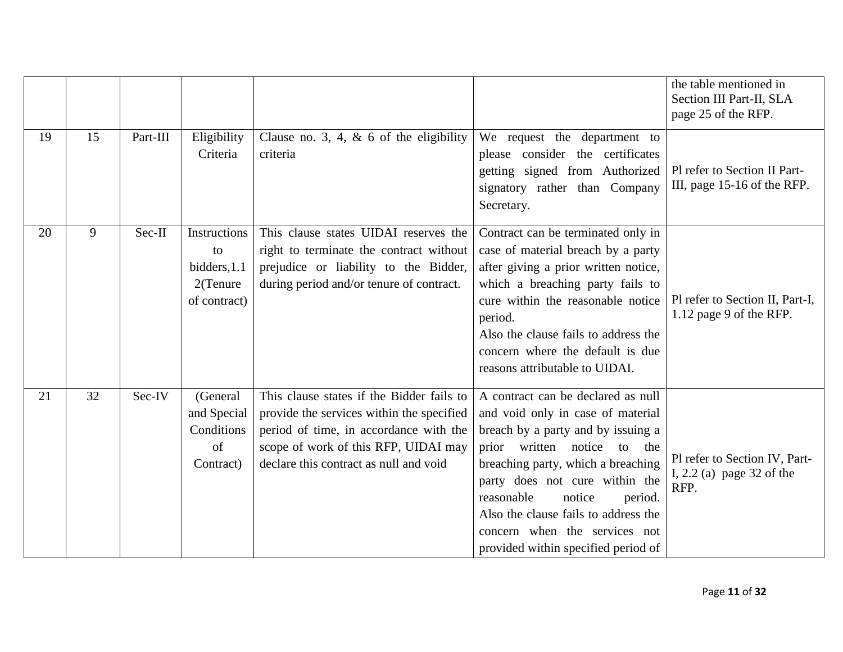|    |    |          |                                                                |                                                                                                                                                                                                                    |                                                                                                                                                                                                                                                                                                                                                                         | the table mentioned in<br>Section III Part-II, SLA<br>page 25 of the RFP. |
|----|----|----------|----------------------------------------------------------------|--------------------------------------------------------------------------------------------------------------------------------------------------------------------------------------------------------------------|-------------------------------------------------------------------------------------------------------------------------------------------------------------------------------------------------------------------------------------------------------------------------------------------------------------------------------------------------------------------------|---------------------------------------------------------------------------|
| 19 | 15 | Part-III | Eligibility<br>Criteria                                        | Clause no. 3, 4, $\&$ 6 of the eligibility<br>criteria                                                                                                                                                             | We request the department to<br>please consider the certificates<br>getting signed from Authorized<br>signatory rather than Company<br>Secretary.                                                                                                                                                                                                                       | Pl refer to Section II Part-<br>III, page 15-16 of the RFP.               |
| 20 | 9  | Sec-II   | Instructions<br>to<br>bidders, 1.1<br>2(Tenure<br>of contract) | This clause states UIDAI reserves the<br>right to terminate the contract without<br>prejudice or liability to the Bidder,<br>during period and/or tenure of contract.                                              | Contract can be terminated only in<br>case of material breach by a party<br>after giving a prior written notice,<br>which a breaching party fails to<br>cure within the reasonable notice<br>period.<br>Also the clause fails to address the<br>concern where the default is due<br>reasons attributable to UIDAI.                                                      | Pl refer to Section II, Part-I,<br>1.12 page 9 of the RFP.                |
| 21 | 32 | Sec-IV   | (General<br>and Special<br>Conditions<br>of<br>Contract)       | This clause states if the Bidder fails to<br>provide the services within the specified<br>period of time, in accordance with the<br>scope of work of this RFP, UIDAI may<br>declare this contract as null and void | A contract can be declared as null<br>and void only in case of material<br>breach by a party and by issuing a<br>prior written notice to the<br>breaching party, which a breaching<br>party does not cure within the<br>reasonable<br>notice<br>period.<br>Also the clause fails to address the<br>concern when the services not<br>provided within specified period of | Pl refer to Section IV, Part-<br>I, $2.2$ (a) page 32 of the<br>RFP.      |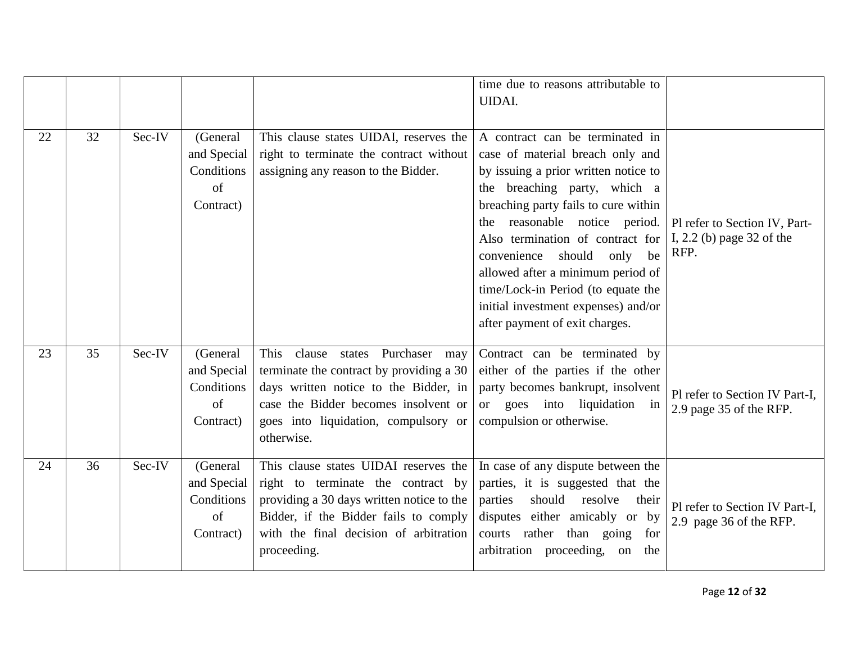|    |    |        |                                                          |                                                                                                                                                                                                                              | time due to reasons attributable to<br><b>UIDAI.</b>                                                                                                                                                                                                                                                                                                                                                                                                   |                                                                      |
|----|----|--------|----------------------------------------------------------|------------------------------------------------------------------------------------------------------------------------------------------------------------------------------------------------------------------------------|--------------------------------------------------------------------------------------------------------------------------------------------------------------------------------------------------------------------------------------------------------------------------------------------------------------------------------------------------------------------------------------------------------------------------------------------------------|----------------------------------------------------------------------|
| 22 | 32 | Sec-IV | (General<br>and Special<br>Conditions<br>of<br>Contract) | This clause states UIDAI, reserves the<br>right to terminate the contract without<br>assigning any reason to the Bidder.                                                                                                     | A contract can be terminated in<br>case of material breach only and<br>by issuing a prior written notice to<br>the breaching party, which a<br>breaching party fails to cure within<br>reasonable notice period.<br>the<br>Also termination of contract for<br>should<br>be<br>convenience<br>only<br>allowed after a minimum period of<br>time/Lock-in Period (to equate the<br>initial investment expenses) and/or<br>after payment of exit charges. | Pl refer to Section IV, Part-<br>I, $2.2$ (b) page 32 of the<br>RFP. |
| 23 | 35 | Sec-IV | (General<br>and Special<br>Conditions<br>of<br>Contract) | This<br>clause states<br>Purchaser<br>may<br>terminate the contract by providing a 30<br>days written notice to the Bidder, in<br>case the Bidder becomes insolvent or<br>goes into liquidation, compulsory or<br>otherwise. | Contract can be terminated by<br>either of the parties if the other<br>party becomes bankrupt, insolvent<br>or goes into liquidation in<br>compulsion or otherwise.                                                                                                                                                                                                                                                                                    | Pl refer to Section IV Part-I,<br>2.9 page 35 of the RFP.            |
| 24 | 36 | Sec-IV | (General<br>and Special<br>Conditions<br>of<br>Contract) | This clause states UIDAI reserves the<br>right to terminate the contract by<br>providing a 30 days written notice to the<br>Bidder, if the Bidder fails to comply<br>with the final decision of arbitration<br>proceeding.   | In case of any dispute between the<br>parties, it is suggested that the<br>should<br>parties<br>resolve<br>their<br>disputes either amicably or by<br>courts rather than going<br>for<br>arbitration proceeding, on<br>the                                                                                                                                                                                                                             | Pl refer to Section IV Part-I,<br>2.9 page 36 of the RFP.            |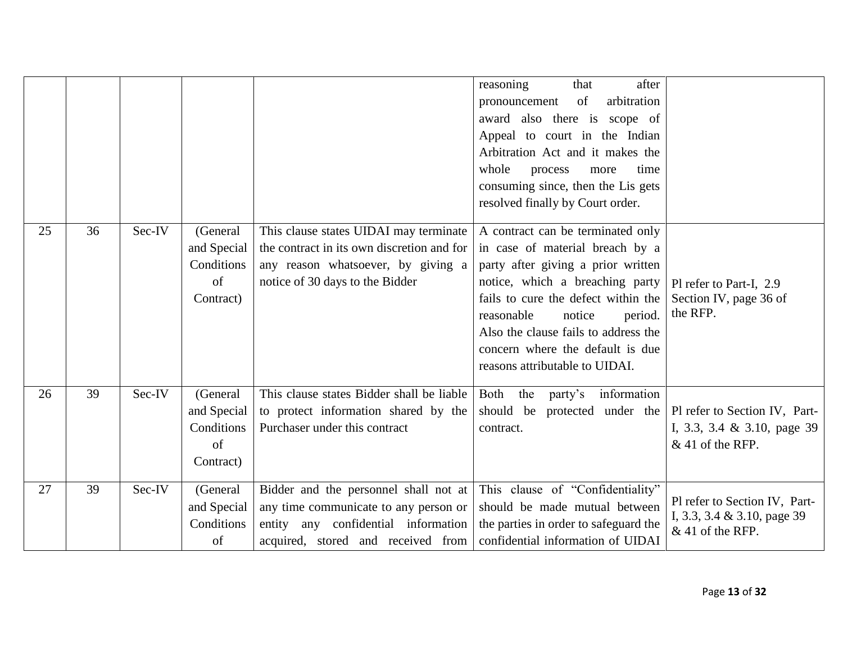|    |    |        |                                                          |                                                                                                                                                               | reasoning<br>after<br>that<br>arbitration<br>of<br>pronouncement<br>award also there is scope of<br>Appeal to court in the Indian<br>Arbitration Act and it makes the<br>whole<br>process<br>time<br>more<br>consuming since, then the Lis gets<br>resolved finally by Court order.                                                   |                                                                                    |
|----|----|--------|----------------------------------------------------------|---------------------------------------------------------------------------------------------------------------------------------------------------------------|---------------------------------------------------------------------------------------------------------------------------------------------------------------------------------------------------------------------------------------------------------------------------------------------------------------------------------------|------------------------------------------------------------------------------------|
| 25 | 36 | Sec-IV | (General<br>and Special<br>Conditions<br>of<br>Contract) | This clause states UIDAI may terminate<br>the contract in its own discretion and for<br>any reason whatsoever, by giving a<br>notice of 30 days to the Bidder | A contract can be terminated only<br>in case of material breach by a<br>party after giving a prior written<br>notice, which a breaching party<br>fails to cure the defect within the<br>notice<br>reasonable<br>period.<br>Also the clause fails to address the<br>concern where the default is due<br>reasons attributable to UIDAI. | Pl refer to Part-I, 2.9<br>Section IV, page 36 of<br>the RFP.                      |
| 26 | 39 | Sec-IV | (General<br>and Special<br>Conditions<br>of<br>Contract) | This clause states Bidder shall be liable<br>to protect information shared by the<br>Purchaser under this contract                                            | information<br>Both<br>the<br>party's<br>should be protected under the<br>contract.                                                                                                                                                                                                                                                   | Pl refer to Section IV, Part-<br>I, 3.3, 3.4 & 3.10, page 39<br>$&$ 41 of the RFP. |
| 27 | 39 | Sec-IV | (General<br>and Special<br>Conditions<br>of              | Bidder and the personnel shall not at<br>any time communicate to any person or<br>entity any confidential information<br>acquired, stored and received from   | This clause of "Confidentiality"<br>should be made mutual between<br>the parties in order to safeguard the<br>confidential information of UIDAI                                                                                                                                                                                       | Pl refer to Section IV, Part-<br>I, 3.3, 3.4 & 3.10, page 39<br>$&$ 41 of the RFP. |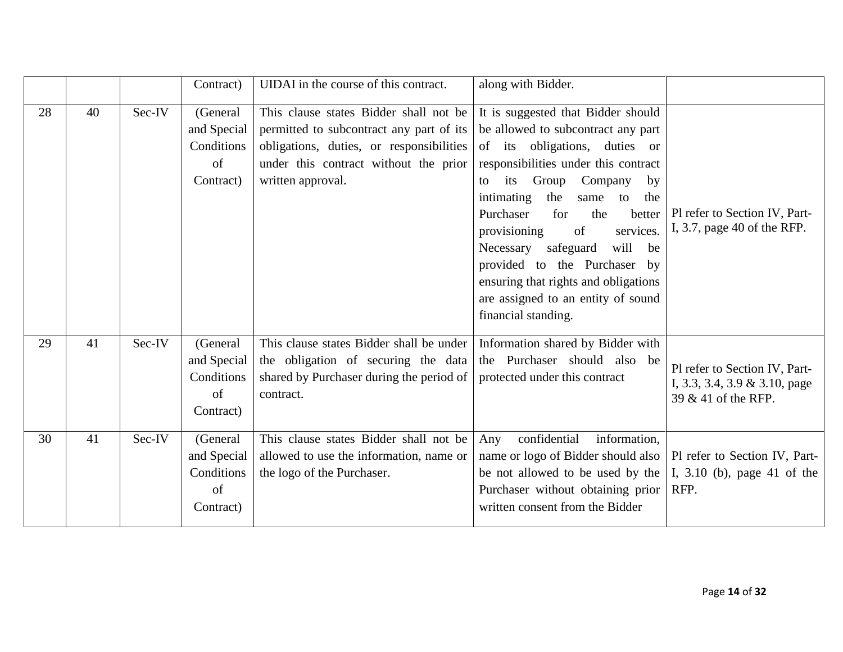|    |    |        | Contract)                                                | UIDAI in the course of this contract.                                                                                                                                                        | along with Bidder.                                                                                                                                                                                                                                                                                                                                                                                                                                                             |                                                                                       |
|----|----|--------|----------------------------------------------------------|----------------------------------------------------------------------------------------------------------------------------------------------------------------------------------------------|--------------------------------------------------------------------------------------------------------------------------------------------------------------------------------------------------------------------------------------------------------------------------------------------------------------------------------------------------------------------------------------------------------------------------------------------------------------------------------|---------------------------------------------------------------------------------------|
| 28 | 40 | Sec-IV | (General<br>and Special<br>Conditions<br>of<br>Contract) | This clause states Bidder shall not be<br>permitted to subcontract any part of its<br>obligations, duties, or responsibilities<br>under this contract without the prior<br>written approval. | It is suggested that Bidder should<br>be allowed to subcontract any part<br>of its obligations, duties or<br>responsibilities under this contract<br>its Group<br>Company<br>by<br>to<br>intimating<br>the<br>to the<br>same<br>Purchaser<br>for<br>the<br>better<br>services.<br>provisioning<br>of<br>Necessary safeguard<br>will<br>be<br>provided to the Purchaser by<br>ensuring that rights and obligations<br>are assigned to an entity of sound<br>financial standing. | Pl refer to Section IV, Part-<br>I, 3.7, page 40 of the RFP.                          |
| 29 | 41 | Sec-IV | (General<br>and Special<br>Conditions<br>of<br>Contract) | This clause states Bidder shall be under<br>the obligation of securing the data<br>shared by Purchaser during the period of<br>contract.                                                     | Information shared by Bidder with<br>the Purchaser should also be<br>protected under this contract                                                                                                                                                                                                                                                                                                                                                                             | Pl refer to Section IV, Part-<br>I, 3.3, 3.4, 3.9 & 3.10, page<br>39 & 41 of the RFP. |
| 30 | 41 | Sec-IV | (General<br>and Special<br>Conditions<br>of<br>Contract) | This clause states Bidder shall not be<br>allowed to use the information, name or<br>the logo of the Purchaser.                                                                              | confidential<br>information,<br>Any<br>name or logo of Bidder should also<br>be not allowed to be used by the<br>Purchaser without obtaining prior<br>written consent from the Bidder                                                                                                                                                                                                                                                                                          | Pl refer to Section IV, Part-<br>I, 3.10 (b), page 41 of the<br>RFP.                  |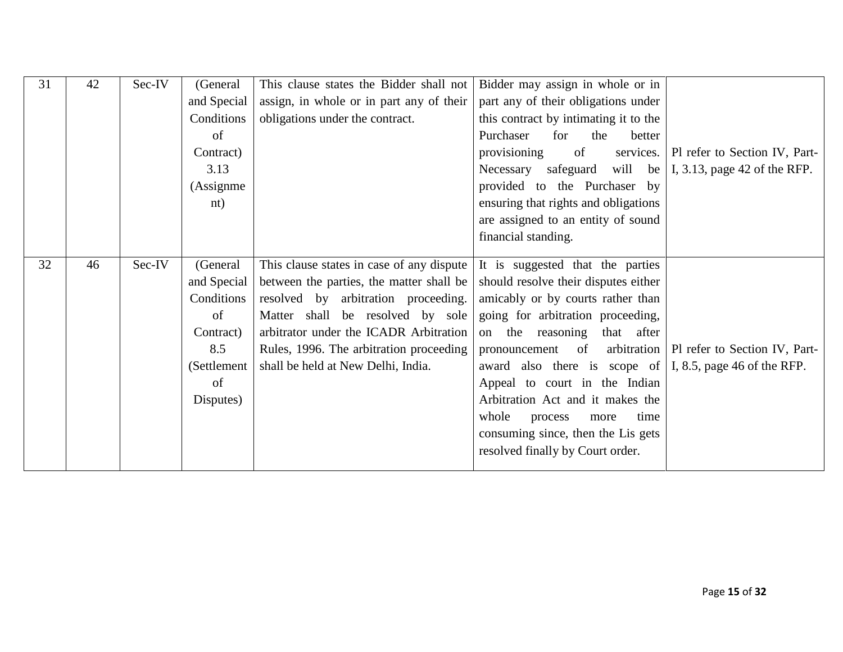| 31 | 42 | Sec-IV | (General    | This clause states the Bidder shall not   | Bidder may assign in whole or in                                 |                                             |
|----|----|--------|-------------|-------------------------------------------|------------------------------------------------------------------|---------------------------------------------|
|    |    |        | and Special | assign, in whole or in part any of their  | part any of their obligations under                              |                                             |
|    |    |        | Conditions  | obligations under the contract.           | this contract by intimating it to the                            |                                             |
|    |    |        | of          |                                           | Purchaser<br>for<br>the<br>better                                |                                             |
|    |    |        | Contract)   |                                           | provisioning<br>of                                               | services.   Pl refer to Section IV, Part-   |
|    |    |        | 3.13        |                                           | Necessary safeguard<br>will be                                   | I, 3.13, page $42$ of the RFP.              |
|    |    |        | (Assignme)  |                                           | provided to the Purchaser by                                     |                                             |
|    |    |        | nt)         |                                           | ensuring that rights and obligations                             |                                             |
|    |    |        |             |                                           | are assigned to an entity of sound                               |                                             |
|    |    |        |             |                                           | financial standing.                                              |                                             |
|    |    |        |             |                                           |                                                                  |                                             |
| 32 | 46 | Sec-IV | (General    | This clause states in case of any dispute | It is suggested that the parties                                 |                                             |
|    |    |        | and Special | between the parties, the matter shall be  | should resolve their disputes either                             |                                             |
|    |    |        | Conditions  | resolved by arbitration proceeding.       | amicably or by courts rather than                                |                                             |
|    |    |        | of          | Matter shall be resolved by sole          | going for arbitration proceeding,                                |                                             |
|    |    |        | Contract)   | arbitrator under the ICADR Arbitration    | on the reasoning<br>that after                                   |                                             |
|    |    |        | 8.5         | Rules, 1996. The arbitration proceeding   | pronouncement of                                                 | arbitration   Pl refer to Section IV, Part- |
|    |    |        | (Settlement | shall be held at New Delhi, India.        | award also there is scope of $\vert$ I, 8.5, page 46 of the RFP. |                                             |
|    |    |        | of          |                                           | Appeal to court in the Indian                                    |                                             |
|    |    |        | Disputes)   |                                           | Arbitration Act and it makes the                                 |                                             |
|    |    |        |             |                                           | whole<br>time<br>process<br>more                                 |                                             |
|    |    |        |             |                                           | consuming since, then the Lis gets                               |                                             |
|    |    |        |             |                                           | resolved finally by Court order.                                 |                                             |
|    |    |        |             |                                           |                                                                  |                                             |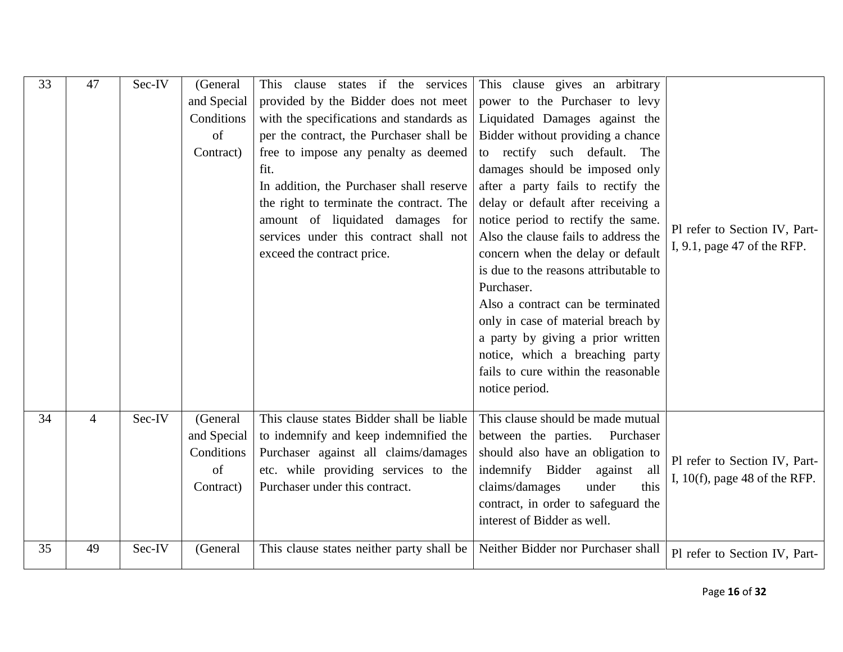| 33 | 47             | Sec-IV | (General      | This clause states if the services        | This clause gives an arbitrary        |                                  |
|----|----------------|--------|---------------|-------------------------------------------|---------------------------------------|----------------------------------|
|    |                |        | and Special   | provided by the Bidder does not meet      | power to the Purchaser to levy        |                                  |
|    |                |        | Conditions    | with the specifications and standards as  | Liquidated Damages against the        |                                  |
|    |                |        | of            | per the contract, the Purchaser shall be  | Bidder without providing a chance     |                                  |
|    |                |        | Contract)     | free to impose any penalty as deemed      | to rectify such default. The          |                                  |
|    |                |        |               | fit.                                      | damages should be imposed only        |                                  |
|    |                |        |               | In addition, the Purchaser shall reserve  | after a party fails to rectify the    |                                  |
|    |                |        |               | the right to terminate the contract. The  | delay or default after receiving a    |                                  |
|    |                |        |               | amount of liquidated damages for          | notice period to rectify the same.    | Pl refer to Section IV, Part-    |
|    |                |        |               | services under this contract shall not    | Also the clause fails to address the  | I, 9.1, page 47 of the RFP.      |
|    |                |        |               | exceed the contract price.                | concern when the delay or default     |                                  |
|    |                |        |               |                                           | is due to the reasons attributable to |                                  |
|    |                |        |               |                                           | Purchaser.                            |                                  |
|    |                |        |               |                                           | Also a contract can be terminated     |                                  |
|    |                |        |               |                                           | only in case of material breach by    |                                  |
|    |                |        |               |                                           | a party by giving a prior written     |                                  |
|    |                |        |               |                                           | notice, which a breaching party       |                                  |
|    |                |        |               |                                           | fails to cure within the reasonable   |                                  |
|    |                |        |               |                                           | notice period.                        |                                  |
| 34 | $\overline{4}$ | Sec-IV | (General      | This clause states Bidder shall be liable | This clause should be made mutual     |                                  |
|    |                |        | and Special   | to indemnify and keep indemnified the     | between the parties.<br>Purchaser     |                                  |
|    |                |        | Conditions    | Purchaser against all claims/damages      | should also have an obligation to     |                                  |
|    |                |        | <sub>of</sub> | etc. while providing services to the      | indemnify Bidder<br>against<br>all    | Pl refer to Section IV, Part-    |
|    |                |        | Contract)     | Purchaser under this contract.            | claims/damages<br>this<br>under       | I, $10(f)$ , page 48 of the RFP. |
|    |                |        |               |                                           | contract, in order to safeguard the   |                                  |
|    |                |        |               |                                           | interest of Bidder as well.           |                                  |
| 35 | 49             | Sec-IV |               |                                           | Neither Bidder nor Purchaser shall    |                                  |
|    |                |        | (General      | This clause states neither party shall be |                                       | Pl refer to Section IV, Part-    |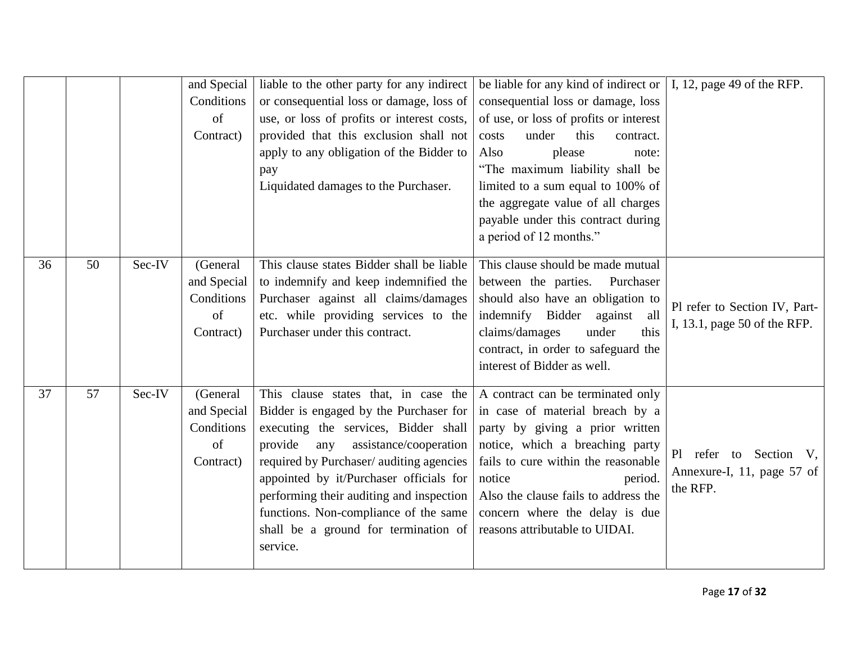|    |    |        | and Special<br>Conditions<br>of<br>Contract)             | liable to the other party for any indirect<br>or consequential loss or damage, loss of<br>use, or loss of profits or interest costs,<br>provided that this exclusion shall not<br>apply to any obligation of the Bidder to<br>pay<br>Liquidated damages to the Purchaser.                                                                                                                          | be liable for any kind of indirect or $\vert$ I, 12, page 49 of the RFP.<br>consequential loss or damage, loss<br>of use, or loss of profits or interest<br>under<br>this<br>costs<br>contract.<br>please<br>Also<br>note:<br>"The maximum liability shall be<br>limited to a sum equal to 100% of<br>the aggregate value of all charges<br>payable under this contract during<br>a period of 12 months." |                                                                  |
|----|----|--------|----------------------------------------------------------|----------------------------------------------------------------------------------------------------------------------------------------------------------------------------------------------------------------------------------------------------------------------------------------------------------------------------------------------------------------------------------------------------|-----------------------------------------------------------------------------------------------------------------------------------------------------------------------------------------------------------------------------------------------------------------------------------------------------------------------------------------------------------------------------------------------------------|------------------------------------------------------------------|
| 36 | 50 | Sec-IV | (General<br>and Special<br>Conditions<br>of<br>Contract) | This clause states Bidder shall be liable<br>to indemnify and keep indemnified the<br>Purchaser against all claims/damages<br>etc. while providing services to the<br>Purchaser under this contract.                                                                                                                                                                                               | This clause should be made mutual<br>between the parties.<br>Purchaser<br>should also have an obligation to<br>indemnify Bidder against<br>all<br>claims/damages<br>this<br>under<br>contract, in order to safeguard the<br>interest of Bidder as well.                                                                                                                                                   | Pl refer to Section IV, Part-<br>I, 13.1, page 50 of the RFP.    |
| 37 | 57 | Sec-IV | (General<br>and Special<br>Conditions<br>of<br>Contract) | This clause states that, in case the<br>Bidder is engaged by the Purchaser for<br>executing the services, Bidder shall<br>provide<br>assistance/cooperation<br>any<br>required by Purchaser/ auditing agencies<br>appointed by it/Purchaser officials for<br>performing their auditing and inspection<br>functions. Non-compliance of the same<br>shall be a ground for termination of<br>service. | A contract can be terminated only<br>in case of material breach by a<br>party by giving a prior written<br>notice, which a breaching party<br>fails to cure within the reasonable<br>notice<br>period.<br>Also the clause fails to address the<br>concern where the delay is due<br>reasons attributable to UIDAI.                                                                                        | Pl refer to Section V,<br>Annexure-I, 11, page 57 of<br>the RFP. |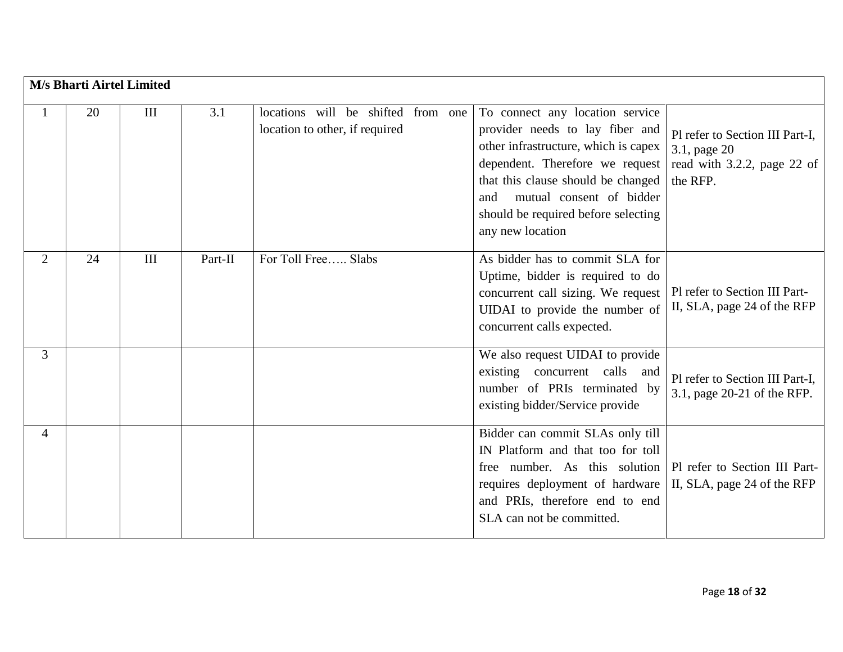|                | M/s Bharti Airtel Limited |     |         |                                                                      |                                                                                                                                                                                                                                                                                   |                                                                                            |
|----------------|---------------------------|-----|---------|----------------------------------------------------------------------|-----------------------------------------------------------------------------------------------------------------------------------------------------------------------------------------------------------------------------------------------------------------------------------|--------------------------------------------------------------------------------------------|
|                | 20                        | III | 3.1     | locations will be shifted from one<br>location to other, if required | To connect any location service<br>provider needs to lay fiber and<br>other infrastructure, which is capex<br>dependent. Therefore we request<br>that this clause should be changed<br>mutual consent of bidder<br>and<br>should be required before selecting<br>any new location | Pl refer to Section III Part-I,<br>3.1, page 20<br>read with 3.2.2, page 22 of<br>the RFP. |
| $\overline{2}$ | 24                        | III | Part-II | For Toll Free Slabs                                                  | As bidder has to commit SLA for<br>Uptime, bidder is required to do<br>concurrent call sizing. We request<br>UIDAI to provide the number of<br>concurrent calls expected.                                                                                                         | Pl refer to Section III Part-<br>II, SLA, page 24 of the RFP                               |
| 3              |                           |     |         |                                                                      | We also request UIDAI to provide<br>existing concurrent calls and<br>number of PRIs terminated by<br>existing bidder/Service provide                                                                                                                                              | Pl refer to Section III Part-I,<br>3.1, page 20-21 of the RFP.                             |
| $\overline{4}$ |                           |     |         |                                                                      | Bidder can commit SLAs only till<br>IN Platform and that too for toll<br>free number. As this solution<br>requires deployment of hardware<br>and PRIs, therefore end to end<br>SLA can not be committed.                                                                          | Pl refer to Section III Part-<br>II, SLA, page 24 of the RFP                               |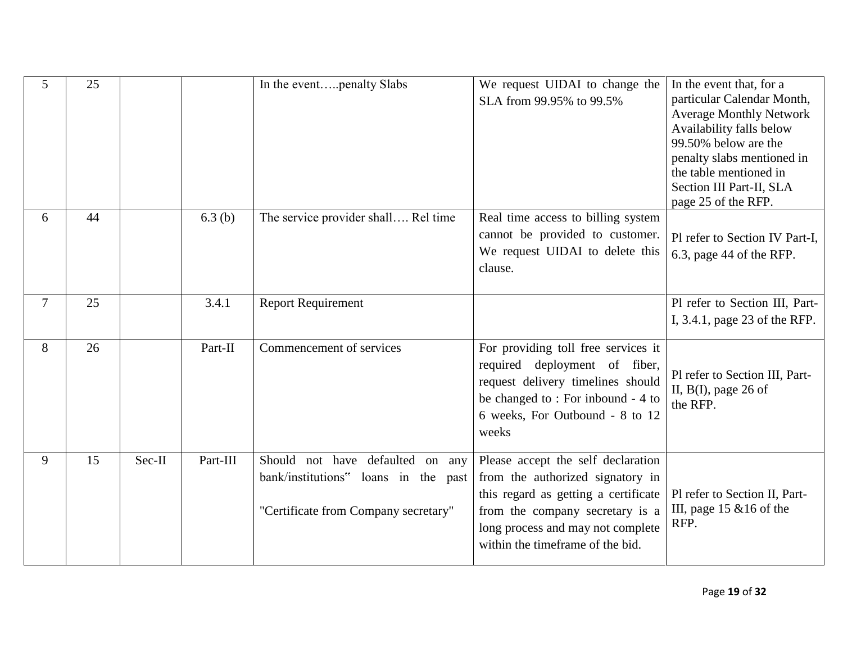| 5              | 25 |        |          | In the eventpenalty Slabs                                                                                        | We request UIDAI to change the<br>SLA from 99.95% to 99.5%                                                                                                                                                                 | In the event that, for a<br>particular Calendar Month,<br><b>Average Monthly Network</b><br>Availability falls below<br>99.50% below are the<br>penalty slabs mentioned in<br>the table mentioned in<br>Section III Part-II, SLA<br>page 25 of the RFP. |
|----------------|----|--------|----------|------------------------------------------------------------------------------------------------------------------|----------------------------------------------------------------------------------------------------------------------------------------------------------------------------------------------------------------------------|---------------------------------------------------------------------------------------------------------------------------------------------------------------------------------------------------------------------------------------------------------|
| 6              | 44 |        | 6.3(b)   | The service provider shall Rel time                                                                              | Real time access to billing system<br>cannot be provided to customer.<br>We request UIDAI to delete this<br>clause.                                                                                                        | Pl refer to Section IV Part-I,<br>6.3, page 44 of the RFP.                                                                                                                                                                                              |
| $\overline{7}$ | 25 |        | 3.4.1    | <b>Report Requirement</b>                                                                                        |                                                                                                                                                                                                                            | Pl refer to Section III, Part-<br>I, 3.4.1, page 23 of the RFP.                                                                                                                                                                                         |
| 8              | 26 |        | Part-II  | Commencement of services                                                                                         | For providing toll free services it<br>required deployment of fiber,<br>request delivery timelines should<br>be changed to: For inbound - 4 to<br>6 weeks, For Outbound - 8 to 12<br>weeks                                 | Pl refer to Section III, Part-<br>II, $B(I)$ , page 26 of<br>the RFP.                                                                                                                                                                                   |
| 9              | 15 | Sec-II | Part-III | Should not have defaulted on any<br>bank/institutions" loans in the past<br>"Certificate from Company secretary" | Please accept the self declaration<br>from the authorized signatory in<br>this regard as getting a certificate<br>from the company secretary is a<br>long process and may not complete<br>within the timeframe of the bid. | Pl refer to Section II, Part-<br>III, page $15 \& 16$ of the<br>RFP.                                                                                                                                                                                    |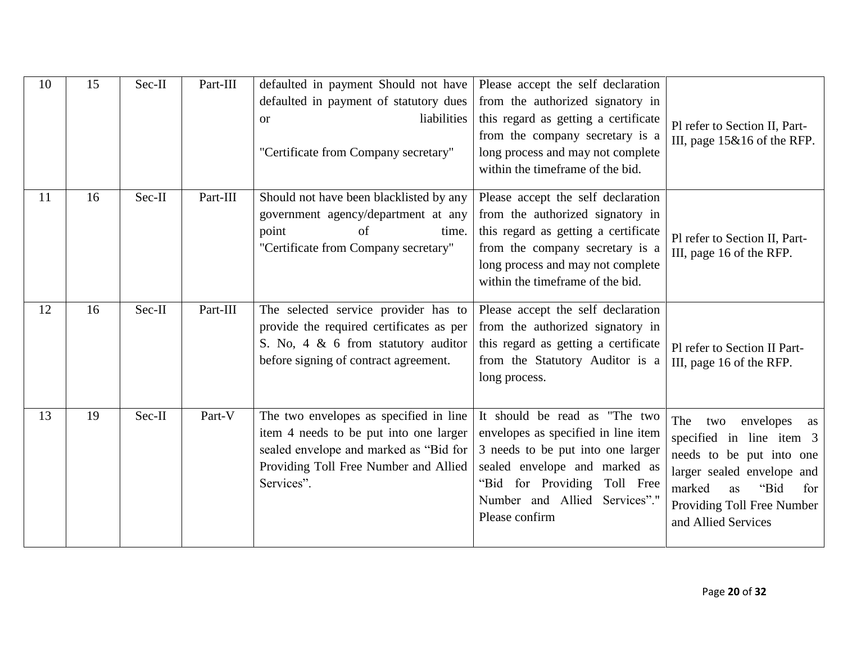| 10 | 15 | Sec-II | Part-III | defaulted in payment Should not have<br>defaulted in payment of statutory dues<br>liabilities<br><b>or</b><br>"Certificate from Company secretary"                                | Please accept the self declaration<br>from the authorized signatory in<br>this regard as getting a certificate<br>from the company secretary is a<br>long process and may not complete<br>within the timeframe of the bid.    | Pl refer to Section II, Part-<br>III, page $15\&16$ of the RFP.                                                                                                                                         |
|----|----|--------|----------|-----------------------------------------------------------------------------------------------------------------------------------------------------------------------------------|-------------------------------------------------------------------------------------------------------------------------------------------------------------------------------------------------------------------------------|---------------------------------------------------------------------------------------------------------------------------------------------------------------------------------------------------------|
| 11 | 16 | Sec-II | Part-III | Should not have been blacklisted by any<br>government agency/department at any<br>point<br>of<br>time.<br>"Certificate from Company secretary"                                    | Please accept the self declaration<br>from the authorized signatory in<br>this regard as getting a certificate<br>from the company secretary is a<br>long process and may not complete<br>within the timeframe of the bid.    | Pl refer to Section II, Part-<br>III, page 16 of the RFP.                                                                                                                                               |
| 12 | 16 | Sec-II | Part-III | The selected service provider has to<br>provide the required certificates as per<br>S. No. $4 \& 6$ from statutory auditor<br>before signing of contract agreement.               | Please accept the self declaration<br>from the authorized signatory in<br>this regard as getting a certificate<br>from the Statutory Auditor is a<br>long process.                                                            | Pl refer to Section II Part-<br>III, page 16 of the RFP.                                                                                                                                                |
| 13 | 19 | Sec-II | Part-V   | The two envelopes as specified in line<br>item 4 needs to be put into one larger<br>sealed envelope and marked as "Bid for<br>Providing Toll Free Number and Allied<br>Services". | It should be read as "The two<br>envelopes as specified in line item<br>3 needs to be put into one larger<br>sealed envelope and marked as<br>"Bid for Providing Toll Free<br>Number and Allied Services"."<br>Please confirm | The<br>envelopes<br>two<br>as<br>specified in line item 3<br>needs to be put into one<br>larger sealed envelope and<br>marked<br>"Bid<br>as<br>for<br>Providing Toll Free Number<br>and Allied Services |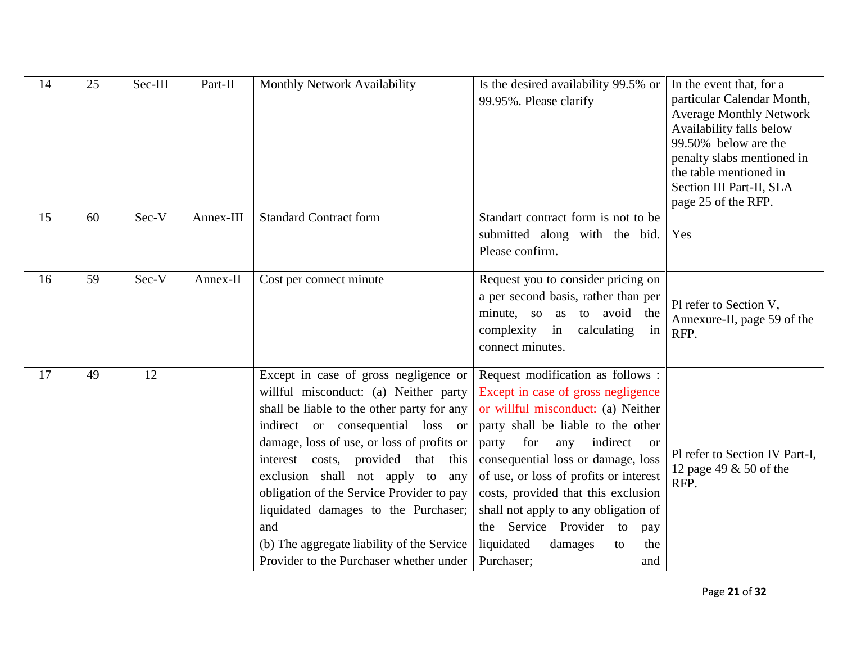| 14 | 25 | Sec-III | Part-II   | Monthly Network Availability                                                                                                                                                                                                                                                                                                                                                                                                                                                      | Is the desired availability 99.5% or<br>99.95%. Please clarify                                                                                                                                                                                                                                                                                                                                                                                                | In the event that, for a<br>particular Calendar Month,<br><b>Average Monthly Network</b><br>Availability falls below<br>99.50% below are the<br>penalty slabs mentioned in<br>the table mentioned in<br>Section III Part-II, SLA<br>page 25 of the RFP. |
|----|----|---------|-----------|-----------------------------------------------------------------------------------------------------------------------------------------------------------------------------------------------------------------------------------------------------------------------------------------------------------------------------------------------------------------------------------------------------------------------------------------------------------------------------------|---------------------------------------------------------------------------------------------------------------------------------------------------------------------------------------------------------------------------------------------------------------------------------------------------------------------------------------------------------------------------------------------------------------------------------------------------------------|---------------------------------------------------------------------------------------------------------------------------------------------------------------------------------------------------------------------------------------------------------|
| 15 | 60 | Sec-V   | Annex-III | <b>Standard Contract form</b>                                                                                                                                                                                                                                                                                                                                                                                                                                                     | Standart contract form is not to be<br>submitted along with the bid.<br>Please confirm.                                                                                                                                                                                                                                                                                                                                                                       | Yes                                                                                                                                                                                                                                                     |
| 16 | 59 | Sec-V   | Annex-II  | Cost per connect minute                                                                                                                                                                                                                                                                                                                                                                                                                                                           | Request you to consider pricing on<br>a per second basis, rather than per<br>minute, so as to avoid the<br>complexity in<br>calculating<br>in<br>connect minutes.                                                                                                                                                                                                                                                                                             | Pl refer to Section V,<br>Annexure-II, page 59 of the<br>RFP.                                                                                                                                                                                           |
| 17 | 49 | 12      |           | Except in case of gross negligence or<br>willful misconduct: (a) Neither party<br>shall be liable to the other party for any<br>indirect or consequential loss or<br>damage, loss of use, or loss of profits or<br>interest costs, provided that this<br>exclusion shall not apply to<br>any<br>obligation of the Service Provider to pay<br>liquidated damages to the Purchaser;<br>and<br>(b) The aggregate liability of the Service<br>Provider to the Purchaser whether under | Request modification as follows :<br>Except in case of gross negligence<br>or willful misconduct: (a) Neither<br>party shall be liable to the other<br>for<br>party<br>indirect<br>any<br>- or<br>consequential loss or damage, loss<br>of use, or loss of profits or interest<br>costs, provided that this exclusion<br>shall not apply to any obligation of<br>Service Provider to<br>the<br>pay<br>liquidated<br>damages<br>the<br>to<br>Purchaser;<br>and | Pl refer to Section IV Part-I,<br>12 page 49 & 50 of the<br>RFP.                                                                                                                                                                                        |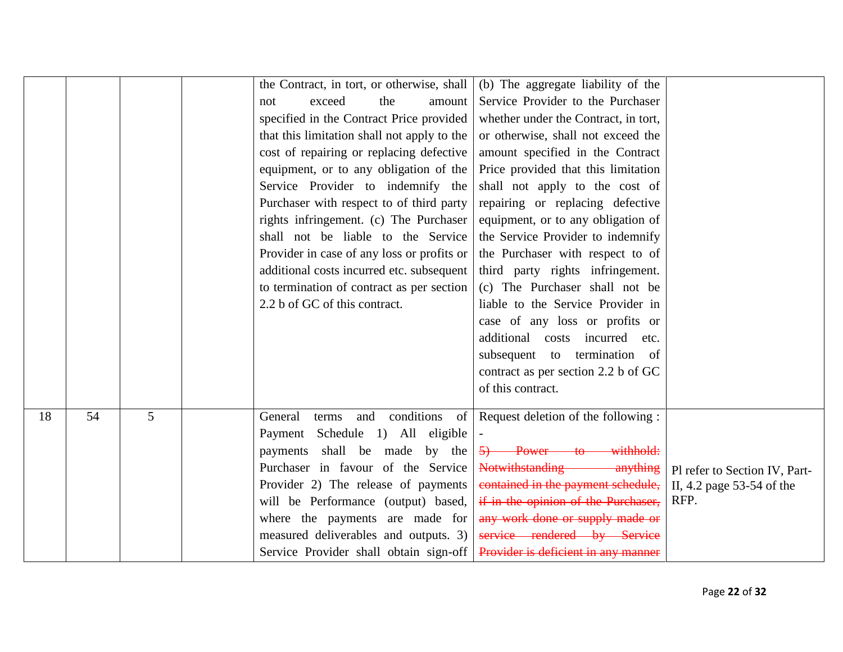|    |    |   | the Contract, in tort, or otherwise, shall<br>exceed<br>the<br>amount<br>not<br>specified in the Contract Price provided<br>that this limitation shall not apply to the<br>cost of repairing or replacing defective<br>equipment, or to any obligation of the<br>Service Provider to indemnify the<br>Purchaser with respect to of third party<br>rights infringement. (c) The Purchaser<br>shall not be liable to the Service<br>Provider in case of any loss or profits or<br>additional costs incurred etc. subsequent<br>to termination of contract as per section<br>2.2 b of GC of this contract. | (b) The aggregate liability of the<br>Service Provider to the Purchaser<br>whether under the Contract, in tort,<br>or otherwise, shall not exceed the<br>amount specified in the Contract<br>Price provided that this limitation<br>shall not apply to the cost of<br>repairing or replacing defective<br>equipment, or to any obligation of<br>the Service Provider to indemnify<br>the Purchaser with respect to of<br>third party rights infringement.<br>(c) The Purchaser shall not be<br>liable to the Service Provider in<br>case of any loss or profits or<br>additional costs incurred etc.<br>subsequent to termination of<br>contract as per section 2.2 b of GC |                                                                    |
|----|----|---|---------------------------------------------------------------------------------------------------------------------------------------------------------------------------------------------------------------------------------------------------------------------------------------------------------------------------------------------------------------------------------------------------------------------------------------------------------------------------------------------------------------------------------------------------------------------------------------------------------|-----------------------------------------------------------------------------------------------------------------------------------------------------------------------------------------------------------------------------------------------------------------------------------------------------------------------------------------------------------------------------------------------------------------------------------------------------------------------------------------------------------------------------------------------------------------------------------------------------------------------------------------------------------------------------|--------------------------------------------------------------------|
|    |    |   |                                                                                                                                                                                                                                                                                                                                                                                                                                                                                                                                                                                                         | of this contract.                                                                                                                                                                                                                                                                                                                                                                                                                                                                                                                                                                                                                                                           |                                                                    |
| 18 | 54 | 5 | General<br>Payment Schedule 1) All eligible<br>payments shall be made by the<br>Purchaser in favour of the Service<br>Provider 2) The release of payments<br>will be Performance (output) based,<br>where the payments are made for<br>measured deliverables and outputs. 3)<br>Service Provider shall obtain sign-off                                                                                                                                                                                                                                                                                  | terms and conditions of Request deletion of the following:<br>5) Power to withhold:<br>Notwithstanding anything<br>contained in the payment schedule,<br>if in the opinion of the Purchaser,<br>any work done or supply made or<br>service rendered by Service<br>Provider is deficient in any manner                                                                                                                                                                                                                                                                                                                                                                       | Pl refer to Section IV, Part-<br>II, 4.2 page 53-54 of the<br>RFP. |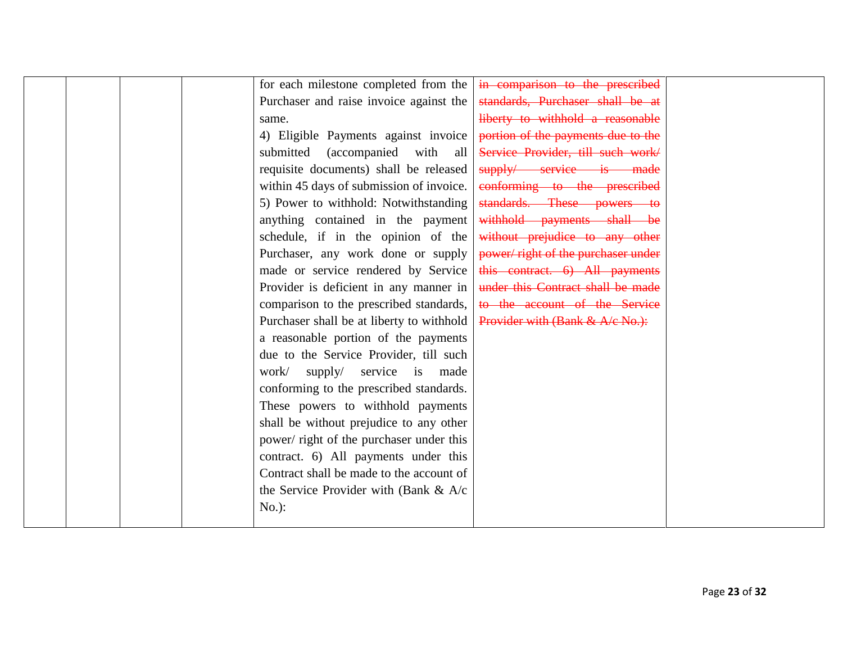| for each milestone completed from the     | in comparison to the prescribed    |  |
|-------------------------------------------|------------------------------------|--|
| Purchaser and raise invoice against the   | standards, Purchaser shall be at   |  |
| same.                                     | liberty to withhold a reasonable   |  |
| 4) Eligible Payments against invoice      | portion of the payments due to the |  |
| submitted (accompanied with all           | Service Provider, till such work/  |  |
| requisite documents) shall be released    | supply/ service is made            |  |
| within 45 days of submission of invoice.  | conforming to the prescribed       |  |
| 5) Power to withhold: Notwithstanding     | standards. These powers to         |  |
| anything contained in the payment         | withhold payments shall be         |  |
| schedule, if in the opinion of the        | without prejudice to any other     |  |
| Purchaser, any work done or supply        | power/right of the purchaser under |  |
| made or service rendered by Service       | this contract. 6) All payments     |  |
| Provider is deficient in any manner in    | under this Contract shall be made  |  |
| comparison to the prescribed standards,   | to the account of the Service      |  |
| Purchaser shall be at liberty to withhold | Provider with (Bank & A/c No.):    |  |
| a reasonable portion of the payments      |                                    |  |
| due to the Service Provider, till such    |                                    |  |
| supply/ service is made<br>work/          |                                    |  |
| conforming to the prescribed standards.   |                                    |  |
| These powers to withhold payments         |                                    |  |
| shall be without prejudice to any other   |                                    |  |
| power/ right of the purchaser under this  |                                    |  |
| contract. 6) All payments under this      |                                    |  |
| Contract shall be made to the account of  |                                    |  |
| the Service Provider with (Bank $\&$ A/c  |                                    |  |
| $No.$ :                                   |                                    |  |
|                                           |                                    |  |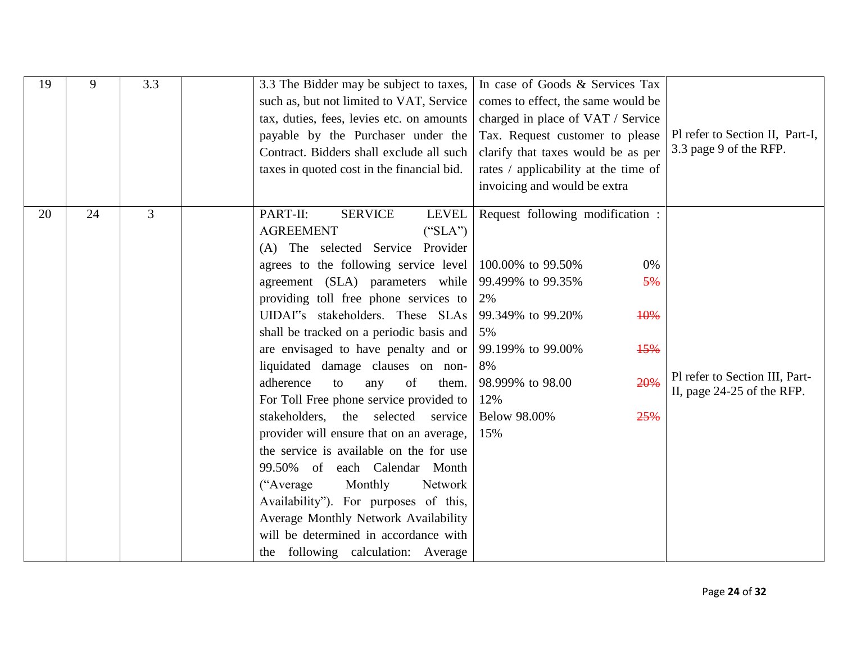| 19 | 9  | 3.3 | 3.3 The Bidder may be subject to taxes,<br>such as, but not limited to VAT, Service<br>tax, duties, fees, levies etc. on amounts<br>payable by the Purchaser under the<br>Contract. Bidders shall exclude all such<br>taxes in quoted cost in the financial bid.                                                                                                                                                                                                                                                                                                                                                                                                                                                                                                                                                                                                                    | In case of Goods & Services Tax<br>comes to effect, the same would be<br>charged in place of VAT / Service<br>Tax. Request customer to please<br>clarify that taxes would be as per<br>rates / applicability at the time of<br>invoicing and would be extra | Pl refer to Section II, Part-I,<br>3.3 page 9 of the RFP.    |
|----|----|-----|-------------------------------------------------------------------------------------------------------------------------------------------------------------------------------------------------------------------------------------------------------------------------------------------------------------------------------------------------------------------------------------------------------------------------------------------------------------------------------------------------------------------------------------------------------------------------------------------------------------------------------------------------------------------------------------------------------------------------------------------------------------------------------------------------------------------------------------------------------------------------------------|-------------------------------------------------------------------------------------------------------------------------------------------------------------------------------------------------------------------------------------------------------------|--------------------------------------------------------------|
| 20 | 24 | 3   | PART-II:<br><b>SERVICE</b><br>LEVEL<br><b>AGREEMENT</b><br>("SLA")<br>(A) The selected Service Provider<br>agrees to the following service level<br>agreement (SLA) parameters while<br>providing toll free phone services to<br>UIDAI"s stakeholders. These SLAs<br>shall be tracked on a periodic basis and<br>are envisaged to have penalty and or $\vert$ 99.199% to 99.00%<br>liquidated damage clauses on non-<br>adherence<br>them.<br>of<br>to<br>any<br>For Toll Free phone service provided to<br>stakeholders,<br>selected<br>the<br>service<br>provider will ensure that on an average,<br>the service is available on the for use<br>99.50% of each Calendar Month<br>("Average"<br>Monthly<br>Network<br>Availability"). For purposes of this,<br>Average Monthly Network Availability<br>will be determined in accordance with<br>the following calculation: Average | Request following modification :<br>0%<br>100.00% to 99.50%<br>99.499% to 99.35%<br>5%<br>2%<br>99.349% to 99.20%<br>10%<br>5%<br>15%<br>8%<br>20%<br>98.999% to 98.00<br>12%<br><b>Below 98.00%</b><br>25%<br>15%                                          | Pl refer to Section III, Part-<br>II, page 24-25 of the RFP. |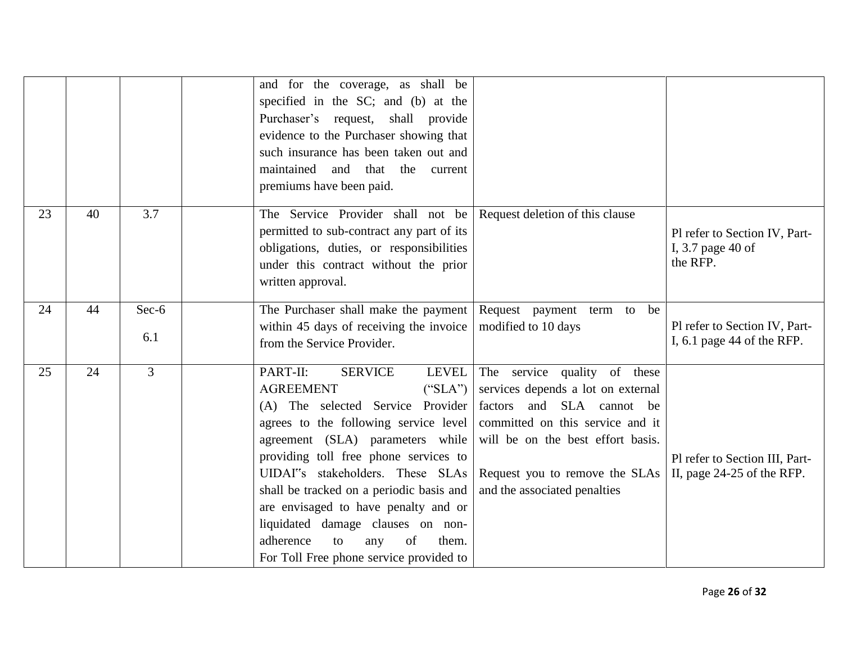|    |    |                | and for the coverage, as shall be<br>specified in the SC; and (b) at the<br>Purchaser's request, shall provide<br>evidence to the Purchaser showing that<br>such insurance has been taken out and<br>maintained<br>and<br>that the<br>current<br>premiums have been paid.                                                                                                                                                                                                                                                                                                                                                                                                                                                    |                                                                |
|----|----|----------------|------------------------------------------------------------------------------------------------------------------------------------------------------------------------------------------------------------------------------------------------------------------------------------------------------------------------------------------------------------------------------------------------------------------------------------------------------------------------------------------------------------------------------------------------------------------------------------------------------------------------------------------------------------------------------------------------------------------------------|----------------------------------------------------------------|
| 23 | 40 | 3.7            | The Service Provider shall not be<br>Request deletion of this clause<br>permitted to sub-contract any part of its<br>obligations, duties, or responsibilities<br>under this contract without the prior<br>written approval.                                                                                                                                                                                                                                                                                                                                                                                                                                                                                                  | Pl refer to Section IV, Part-<br>I, 3.7 page 40 of<br>the RFP. |
| 24 | 44 | $Sec-6$<br>6.1 | The Purchaser shall make the payment  <br>Request payment<br>term to be<br>within 45 days of receiving the invoice<br>modified to 10 days<br>from the Service Provider.                                                                                                                                                                                                                                                                                                                                                                                                                                                                                                                                                      | Pl refer to Section IV, Part-<br>I, $6.1$ page 44 of the RFP.  |
| 25 | 24 | $\overline{3}$ | PART-II:<br>LEVEL<br><b>SERVICE</b><br>The service quality of these<br><b>AGREEMENT</b><br>services depends a lot on external<br>("SLA")<br>(A) The selected Service Provider<br>factors and SLA cannot be<br>agrees to the following service level<br>committed on this service and it<br>agreement (SLA) parameters while<br>will be on the best effort basis.<br>providing toll free phone services to<br>UIDAI"s stakeholders. These SLAs<br>Request you to remove the SLAs<br>shall be tracked on a periodic basis and<br>and the associated penalties<br>are envisaged to have penalty and or<br>liquidated damage clauses on non-<br>adherence<br>of<br>them.<br>to<br>any<br>For Toll Free phone service provided to | Pl refer to Section III, Part-<br>II, page 24-25 of the RFP.   |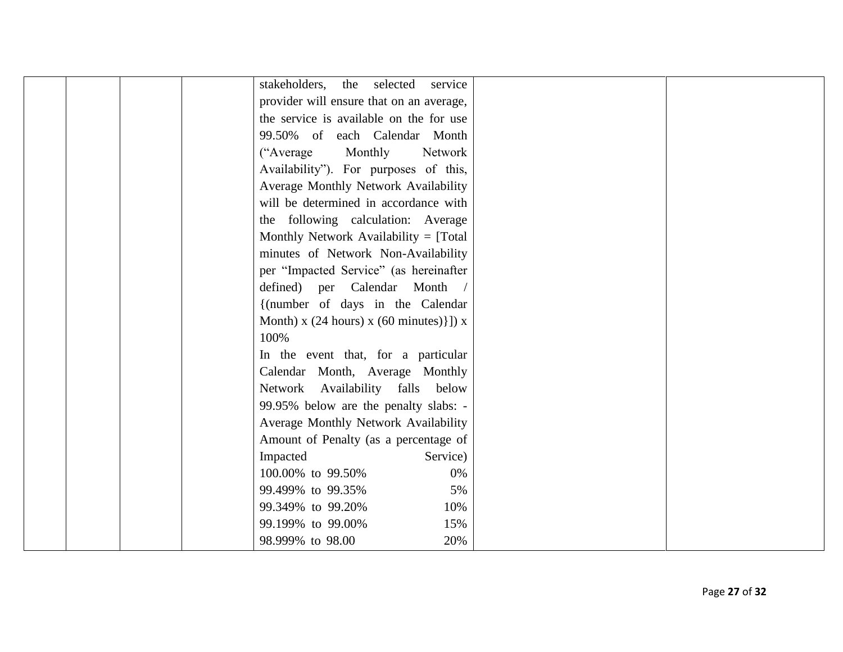| stakeholders,<br>the selected<br>service                    |
|-------------------------------------------------------------|
| provider will ensure that on an average,                    |
| the service is available on the for use                     |
| 99.50% of each Calendar Month                               |
| ("Average"<br>Monthly<br>Network                            |
| Availability"). For purposes of this,                       |
| Average Monthly Network Availability                        |
| will be determined in accordance with                       |
| the following calculation: Average                          |
| Monthly Network Availability = [Total]                      |
| minutes of Network Non-Availability                         |
| per "Impacted Service" (as hereinafter                      |
| defined) per Calendar Month                                 |
| {(number of days in the Calendar                            |
| Month) x $(24 \text{ hours})$ x $(60 \text{ minutes})$ ]) x |
| 100%                                                        |
| In the event that, for a particular                         |
| Calendar Month, Average Monthly                             |
| Network Availability falls<br>below                         |
| 99.95% below are the penalty slabs: -                       |
| Average Monthly Network Availability                        |
| Amount of Penalty (as a percentage of                       |
| Impacted<br>Service)                                        |
| 100.00% to 99.50%<br>0%                                     |
| 99.499% to 99.35%<br>5%                                     |
| 99.349% to 99.20%<br>10%                                    |
| 15%<br>99.199% to 99.00%                                    |
| 98.999% to 98.00<br>20%                                     |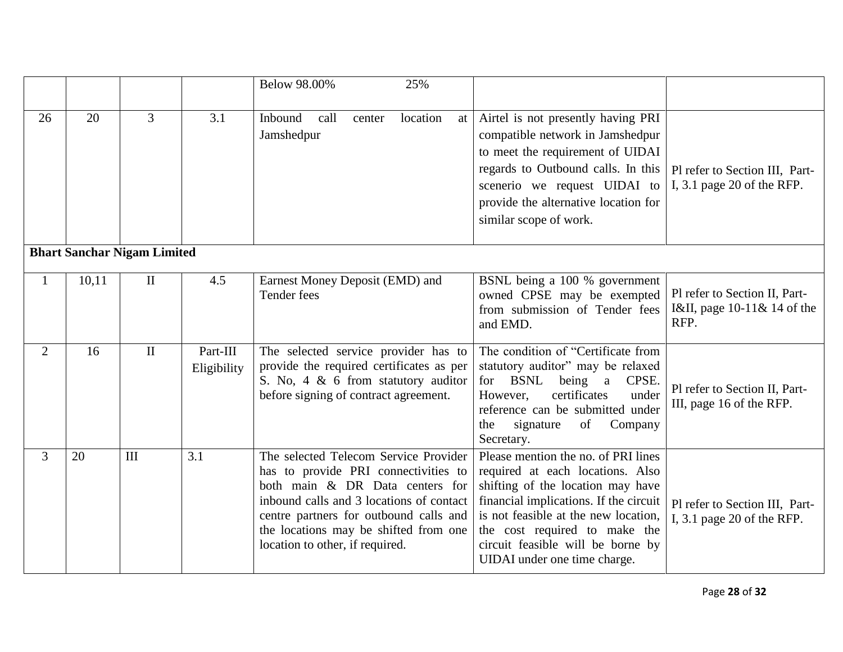|                |       |                                    |                         | Below 98.00%<br>25%                                                                                                                                                                                                                                                                |                                                                                                                                                                                                                                                                                                      |                                                                      |
|----------------|-------|------------------------------------|-------------------------|------------------------------------------------------------------------------------------------------------------------------------------------------------------------------------------------------------------------------------------------------------------------------------|------------------------------------------------------------------------------------------------------------------------------------------------------------------------------------------------------------------------------------------------------------------------------------------------------|----------------------------------------------------------------------|
| 26             | 20    | $\overline{3}$                     | 3.1                     | location<br>Inbound<br>call<br>center<br>at<br>Jamshedpur                                                                                                                                                                                                                          | Airtel is not presently having PRI<br>compatible network in Jamshedpur<br>to meet the requirement of UIDAI<br>regards to Outbound calls. In this<br>scenerio we request UIDAI to<br>provide the alternative location for<br>similar scope of work.                                                   | Pl refer to Section III, Part-<br>I, $3.1$ page 20 of the RFP.       |
|                |       | <b>Bhart Sanchar Nigam Limited</b> |                         |                                                                                                                                                                                                                                                                                    |                                                                                                                                                                                                                                                                                                      |                                                                      |
| $\mathbf{1}$   | 10,11 | $\mathbf{I}$                       | 4.5                     | Earnest Money Deposit (EMD) and<br>Tender fees                                                                                                                                                                                                                                     | BSNL being a 100 % government<br>owned CPSE may be exempted<br>from submission of Tender fees<br>and EMD.                                                                                                                                                                                            | Pl refer to Section II, Part-<br>I&II, page 10-11& 14 of the<br>RFP. |
| $\overline{2}$ | 16    | $\mathbf{I}$                       | Part-III<br>Eligibility | The selected service provider has to<br>provide the required certificates as per<br>S. No. 4 $\&$ 6 from statutory auditor<br>before signing of contract agreement.                                                                                                                | The condition of "Certificate from<br>statutory auditor" may be relaxed<br>for BSNL<br>being a<br>CPSE.<br>under<br>certificates<br>However,<br>reference can be submitted under<br>signature<br>of<br>Company<br>the<br>Secretary.                                                                  | Pl refer to Section II, Part-<br>III, page 16 of the RFP.            |
| $\overline{3}$ | 20    | III                                | 3.1                     | The selected Telecom Service Provider<br>has to provide PRI connectivities to<br>both main & DR Data centers for<br>inbound calls and 3 locations of contact<br>centre partners for outbound calls and<br>the locations may be shifted from one<br>location to other, if required. | Please mention the no. of PRI lines<br>required at each locations. Also<br>shifting of the location may have<br>financial implications. If the circuit<br>is not feasible at the new location,<br>the cost required to make the<br>circuit feasible will be borne by<br>UIDAI under one time charge. | Pl refer to Section III, Part-<br>I, $3.1$ page 20 of the RFP.       |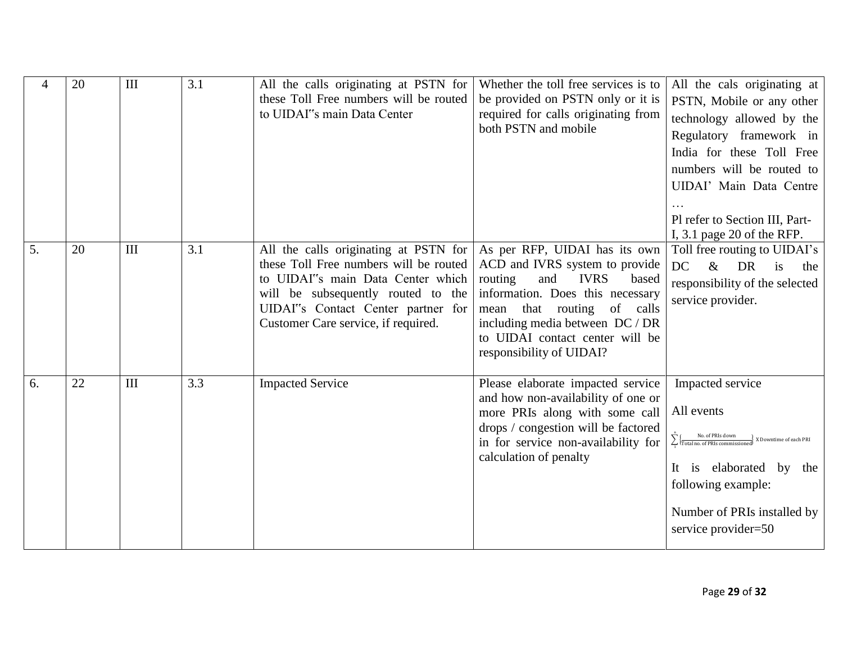| 4  | 20 | III | 3.1 | All the calls originating at PSTN for<br>these Toll Free numbers will be routed<br>to UIDAI"s main Data Center                                                                                                                          | Whether the toll free services is to<br>be provided on PSTN only or it is<br>required for calls originating from<br>both PSTN and mobile                                                                                                                                            | All the cals originating at<br>PSTN, Mobile or any other<br>technology allowed by the<br>Regulatory framework in<br>India for these Toll Free<br>numbers will be routed to<br>UIDAI' Main Data Centre<br>Pl refer to Section III, Part-<br>I, $3.1$ page 20 of the RFP.         |
|----|----|-----|-----|-----------------------------------------------------------------------------------------------------------------------------------------------------------------------------------------------------------------------------------------|-------------------------------------------------------------------------------------------------------------------------------------------------------------------------------------------------------------------------------------------------------------------------------------|---------------------------------------------------------------------------------------------------------------------------------------------------------------------------------------------------------------------------------------------------------------------------------|
| 5. | 20 | III | 3.1 | All the calls originating at PSTN for<br>these Toll Free numbers will be routed<br>to UIDAI"s main Data Center which<br>will be subsequently routed to the<br>UIDAI"s Contact Center partner for<br>Customer Care service, if required. | As per RFP, UIDAI has its own<br>ACD and IVRS system to provide<br>routing<br><b>IVRS</b><br>and<br>based<br>information. Does this necessary<br>of calls<br>that routing<br>mean<br>including media between DC / DR<br>to UIDAI contact center will be<br>responsibility of UIDAI? | Toll free routing to UIDAI's<br>DC<br>$\&$<br><b>DR</b><br>is<br>the<br>responsibility of the selected<br>service provider.                                                                                                                                                     |
| 6. | 22 | III | 3.3 | <b>Impacted Service</b>                                                                                                                                                                                                                 | Please elaborate impacted service<br>and how non-availability of one or<br>more PRIs along with some call<br>drops / congestion will be factored<br>in for service non-availability for<br>calculation of penalty                                                                   | Impacted service<br>All events<br>$\sum_{n=1}^{\infty}\frac{N\omega \cdot \text{of PRIs down}}{\text{Total no. of PRIs commissioned}}\times \text{Downtime of each PRI}$<br>It is elaborated by the<br>following example:<br>Number of PRIs installed by<br>service provider=50 |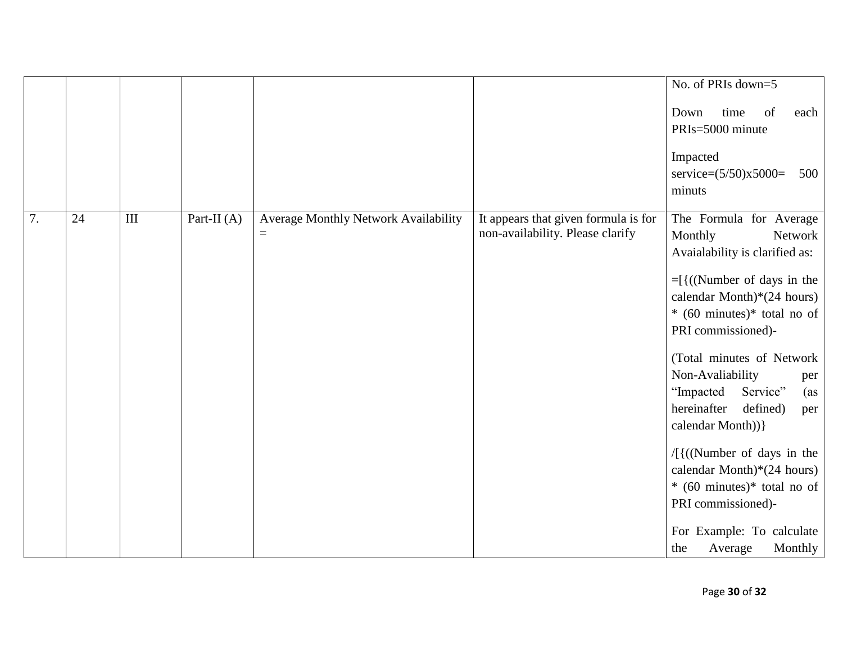|    |    |           |             |                                                  |                                                                          | No. of PRIs down=5                                                                                                                                                                                                                                                                                                                                                                                                                                                                                                                                                          |
|----|----|-----------|-------------|--------------------------------------------------|--------------------------------------------------------------------------|-----------------------------------------------------------------------------------------------------------------------------------------------------------------------------------------------------------------------------------------------------------------------------------------------------------------------------------------------------------------------------------------------------------------------------------------------------------------------------------------------------------------------------------------------------------------------------|
|    |    |           |             |                                                  |                                                                          | Down<br>of<br>time<br>each<br>PRIs=5000 minute<br>Impacted<br>service= $(5/50)x5000=$<br>500<br>minuts                                                                                                                                                                                                                                                                                                                                                                                                                                                                      |
| 7. | 24 | $\rm III$ | Part-II (A) | Average Monthly Network Availability<br>$\equiv$ | It appears that given formula is for<br>non-availability. Please clarify | The Formula for Average<br>Monthly<br>Network<br>Avaialability is clarified as:<br>$=$ [{((Number of days in the<br>calendar Month) $*(24 \text{ hours})$<br>$*(60 \text{ minutes})^*$ total no of<br>PRI commissioned)-<br>(Total minutes of Network<br>Non-Avaliability<br>per<br>"Impacted<br>Service"<br>(as<br>hereinafter<br>defined)<br>per<br>calendar Month)) }<br>$/[$ {((Number of days in the<br>calendar Month) $*(24 \text{ hours})$<br>$*(60 \text{ minutes})^*$ total no of<br>PRI commissioned)-<br>For Example: To calculate<br>Average<br>Monthly<br>the |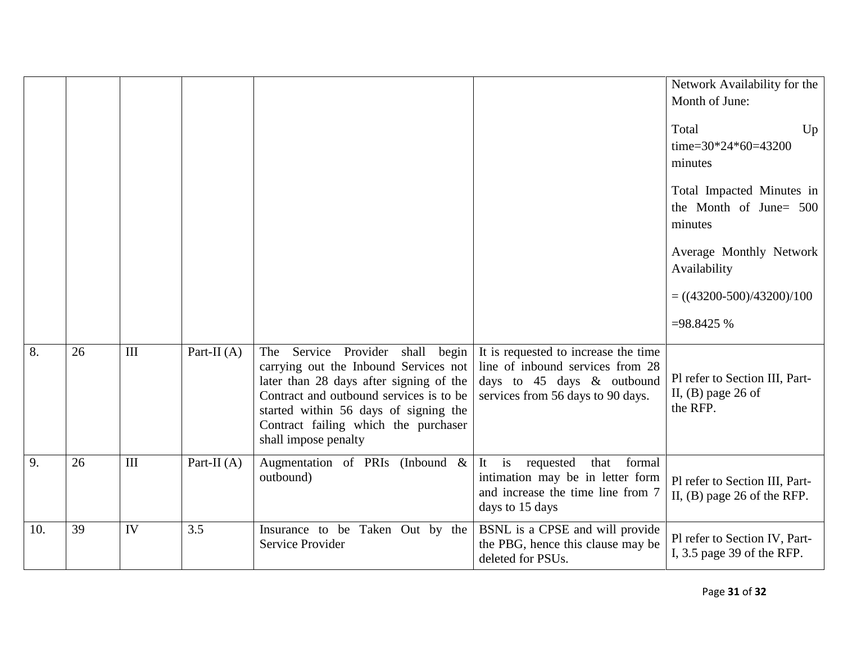|     |    |     |               |                                                                                                                                                                                                                                                                                |                                                                                                                                             | Network Availability for the<br>Month of June:<br>Total<br>Up<br>time= $30*24*60=43200$<br>minutes<br>Total Impacted Minutes in<br>the Month of June $500$<br>minutes<br>Average Monthly Network<br>Availability<br>$= ((43200-500)/43200)/100$<br>$=98.8425%$ |
|-----|----|-----|---------------|--------------------------------------------------------------------------------------------------------------------------------------------------------------------------------------------------------------------------------------------------------------------------------|---------------------------------------------------------------------------------------------------------------------------------------------|----------------------------------------------------------------------------------------------------------------------------------------------------------------------------------------------------------------------------------------------------------------|
| 8.  | 26 | III | Part-II $(A)$ | Service Provider shall<br>begin<br>The<br>carrying out the Inbound Services not<br>later than 28 days after signing of the<br>Contract and outbound services is to be<br>started within 56 days of signing the<br>Contract failing which the purchaser<br>shall impose penalty | It is requested to increase the time<br>line of inbound services from 28<br>days to 45 days & outbound<br>services from 56 days to 90 days. | Pl refer to Section III, Part-<br>II, $(B)$ page 26 of<br>the RFP.                                                                                                                                                                                             |
| 9.  | 26 | III | Part-II $(A)$ | Augmentation of PRIs (Inbound $\&$<br>outbound)                                                                                                                                                                                                                                | It is<br>that<br>formal<br>requested<br>intimation may be in letter form<br>and increase the time line from 7<br>days to 15 days            | Pl refer to Section III, Part-<br>II, $(B)$ page 26 of the RFP.                                                                                                                                                                                                |
| 10. | 39 | IV  | 3.5           | Insurance to be Taken Out by the<br><b>Service Provider</b>                                                                                                                                                                                                                    | BSNL is a CPSE and will provide<br>the PBG, hence this clause may be<br>deleted for PSUs.                                                   | Pl refer to Section IV, Part-<br>I, $3.5$ page 39 of the RFP.                                                                                                                                                                                                  |